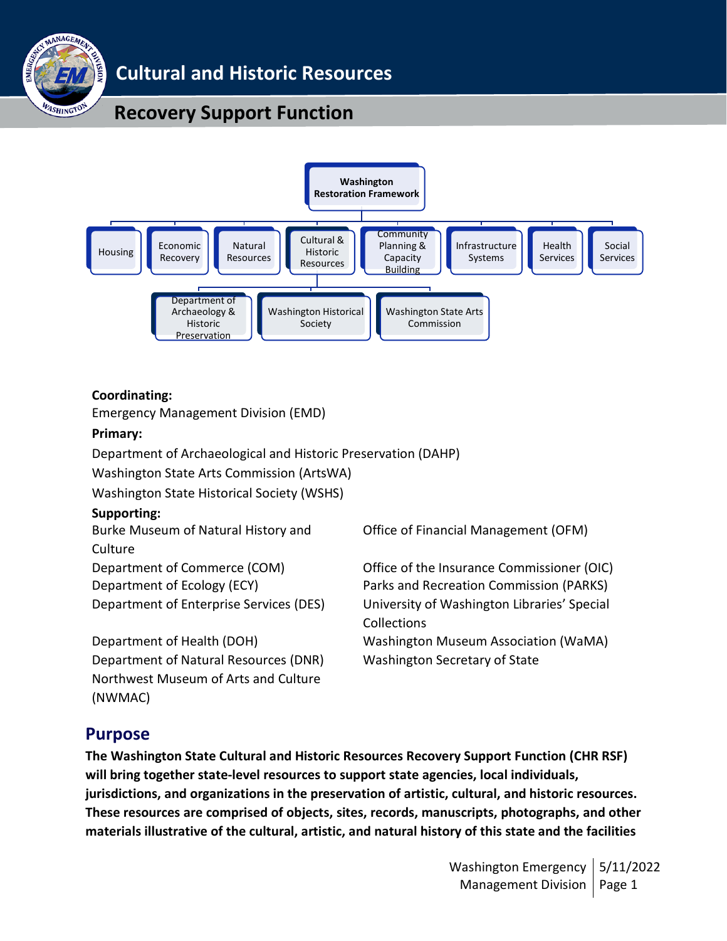

## **Cultural and Historic Resources**

## **Recovery Support Function**



#### **Coordinating:**

Emergency Management Division (EMD)

#### **Primary:**

Department of Archaeological and Historic Preservation (DAHP)

Washington State Arts Commission (ArtsWA)

Washington State Historical Society (WSHS)

#### **Supporting:**

Burke Museum of Natural History and **Culture** Department of Commerce (COM) Office of the Insurance Commissioner (OIC) Department of Ecology (ECY) Parks and Recreation Commission (PARKS) Department of Enterprise Services (DES) University of Washington Libraries' Special

Department of Health (DOH) Washington Museum Association (WaMA) Department of Natural Resources (DNR) Washington Secretary of State Northwest Museum of Arts and Culture (NWMAC)

Office of Financial Management (OFM)

Collections

## **Purpose**

**The Washington State Cultural and Historic Resources Recovery Support Function (CHR RSF) will bring together state-level resources to support state agencies, local individuals, jurisdictions, and organizations in the preservation of artistic, cultural, and historic resources. These resources are comprised of objects, sites, records, manuscripts, photographs, and other materials illustrative of the cultural, artistic, and natural history of this state and the facilities**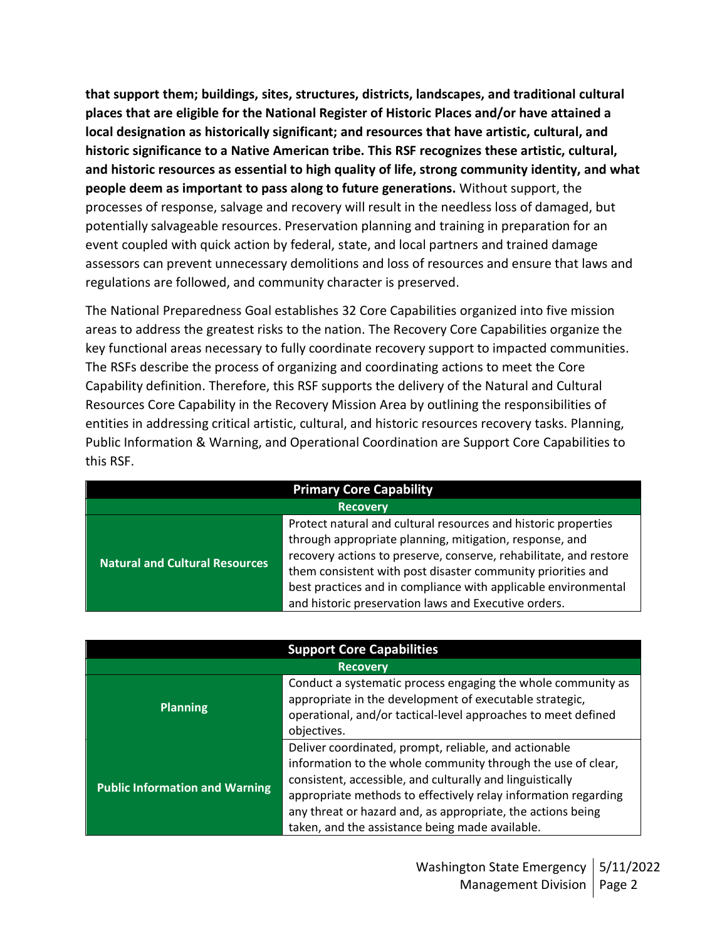**that support them; buildings, sites, structures, districts, landscapes, and traditional cultural places that are eligible for the National Register of Historic Places and/or have attained a local designation as historically significant; and resources that have artistic, cultural, and historic significance to a Native American tribe. This RSF recognizes these artistic, cultural, and historic resources as essential to high quality of life, strong community identity, and what people deem as important to pass along to future generations.** Without support, the processes of response, salvage and recovery will result in the needless loss of damaged, but potentially salvageable resources. Preservation planning and training in preparation for an event coupled with quick action by federal, state, and local partners and trained damage assessors can prevent unnecessary demolitions and loss of resources and ensure that laws and regulations are followed, and community character is preserved.

The National Preparedness Goal establishes 32 Core Capabilities organized into five mission areas to address the greatest risks to the nation. The Recovery Core Capabilities organize the key functional areas necessary to fully coordinate recovery support to impacted communities. The RSFs describe the process of organizing and coordinating actions to meet the Core Capability definition. Therefore, this RSF supports the delivery of the Natural and Cultural Resources Core Capability in the Recovery Mission Area by outlining the responsibilities of entities in addressing critical artistic, cultural, and historic resources recovery tasks. Planning, Public Information & Warning, and Operational Coordination are Support Core Capabilities to this RSF.

| <b>Primary Core Capability</b>        |                                                                                                                                                                                                                                                                                                                                                                                         |  |
|---------------------------------------|-----------------------------------------------------------------------------------------------------------------------------------------------------------------------------------------------------------------------------------------------------------------------------------------------------------------------------------------------------------------------------------------|--|
| <b>Recovery</b>                       |                                                                                                                                                                                                                                                                                                                                                                                         |  |
| <b>Natural and Cultural Resources</b> | Protect natural and cultural resources and historic properties<br>through appropriate planning, mitigation, response, and<br>recovery actions to preserve, conserve, rehabilitate, and restore<br>them consistent with post disaster community priorities and<br>best practices and in compliance with applicable environmental<br>and historic preservation laws and Executive orders. |  |

| <b>Support Core Capabilities</b>      |                                                                                                                                                                                                                                                                                                                                                                        |  |  |
|---------------------------------------|------------------------------------------------------------------------------------------------------------------------------------------------------------------------------------------------------------------------------------------------------------------------------------------------------------------------------------------------------------------------|--|--|
| <b>Recovery</b>                       |                                                                                                                                                                                                                                                                                                                                                                        |  |  |
| <b>Planning</b>                       | Conduct a systematic process engaging the whole community as<br>appropriate in the development of executable strategic,<br>operational, and/or tactical-level approaches to meet defined<br>objectives.                                                                                                                                                                |  |  |
| <b>Public Information and Warning</b> | Deliver coordinated, prompt, reliable, and actionable<br>information to the whole community through the use of clear,<br>consistent, accessible, and culturally and linguistically<br>appropriate methods to effectively relay information regarding<br>any threat or hazard and, as appropriate, the actions being<br>taken, and the assistance being made available. |  |  |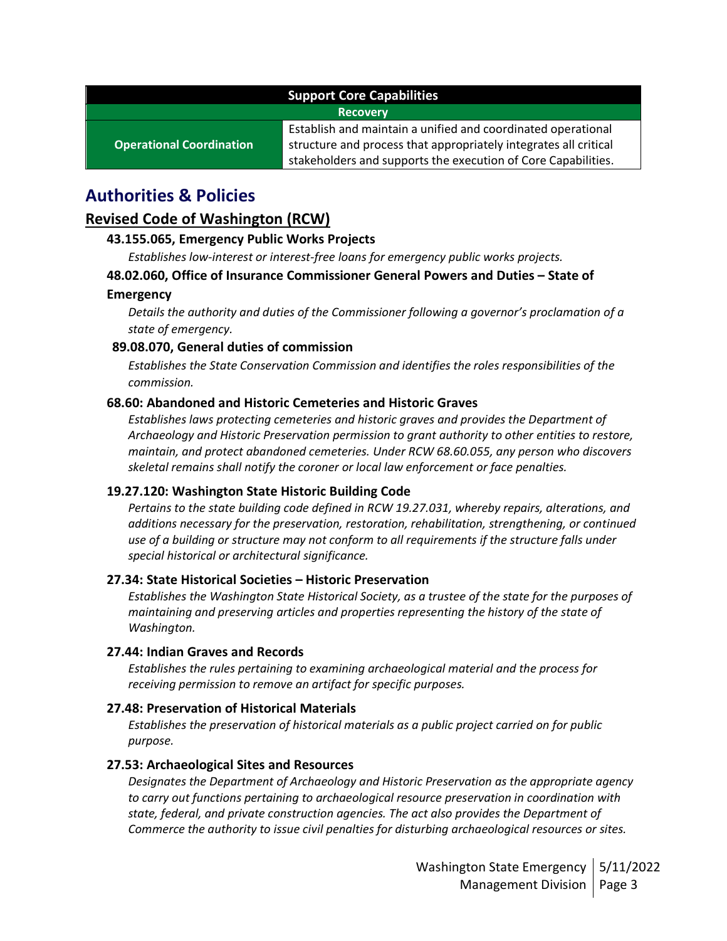| <b>Support Core Capabilities</b> |                                                                                                                                  |  |
|----------------------------------|----------------------------------------------------------------------------------------------------------------------------------|--|
| <b>Recovery</b>                  |                                                                                                                                  |  |
| <b>Operational Coordination</b>  | Establish and maintain a unified and coordinated operational<br>structure and process that appropriately integrates all critical |  |
|                                  | stakeholders and supports the execution of Core Capabilities.                                                                    |  |

## **Authorities & Policies**

### **Revised Code of Washington (RCW)**

#### **43.155.065, Emergency Public Works Projects**

*Establishes low-interest or interest-free loans for emergency public works projects.* 

#### **48.02.060, Office of Insurance Commissioner General Powers and Duties – State of**

#### **Emergency**

*Details the authority and duties of the Commissioner following a governor's proclamation of a state of emergency.*

#### **89.08.070, General duties of commission**

*Establishes the State Conservation Commission and identifies the roles responsibilities of the commission.*

#### **68.60: Abandoned and Historic Cemeteries and Historic Graves**

*Establishes laws protecting cemeteries and historic graves and provides the Department of Archaeology and Historic Preservation permission to grant authority to other entities to restore, maintain, and protect abandoned cemeteries. Under RCW 68.60.055, any person who discovers skeletal remains shall notify the coroner or local law enforcement or face penalties.*

#### **19.27.120: Washington State Historic Building Code**

*Pertains to the state building code defined in RCW 19.27.031, whereby repairs, alterations, and additions necessary for the preservation, restoration, rehabilitation, strengthening, or continued use of a building or structure may not conform to all requirements if the structure falls under special historical or architectural significance.*

#### **27.34: State Historical Societies – Historic Preservation**

*Establishes the Washington State Historical Society, as a trustee of the state for the purposes of maintaining and preserving articles and properties representing the history of the state of Washington.*

#### **27.44: Indian Graves and Records**

*Establishes the rules pertaining to examining archaeological material and the process for receiving permission to remove an artifact for specific purposes.*

#### **27.48: Preservation of Historical Materials**

*Establishes the preservation of historical materials as a public project carried on for public purpose.* 

#### **27.53: Archaeological Sites and Resources**

*Designates the Department of Archaeology and Historic Preservation as the appropriate agency to carry out functions pertaining to archaeological resource preservation in coordination with state, federal, and private construction agencies. The act also provides the Department of Commerce the authority to issue civil penalties for disturbing archaeological resources or sites.*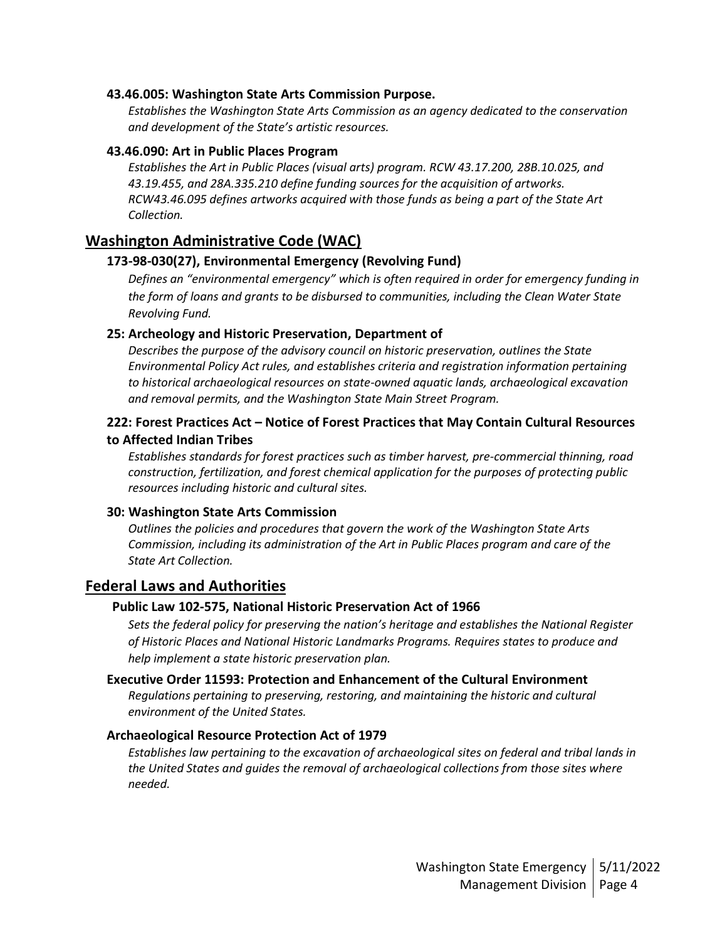#### **43.46.005: Washington State Arts Commission Purpose.**

*Establishes the Washington State Arts Commission as an agency dedicated to the conservation and development of the State's artistic resources.*

#### **43.46.090: Art in Public Places Program**

*Establishes the Art in Public Places (visual arts) program. RCW 43.17.200, 28B.10.025, and 43.19.455, and 28A.335.210 define funding sources for the acquisition of artworks. RCW43.46.095 defines artworks acquired with those funds as being a part of the State Art Collection.*

#### **Washington Administrative Code (WAC)**

#### **173-98-030(27), Environmental Emergency (Revolving Fund)**

*Defines an "environmental emergency" which is often required in order for emergency funding in the form of loans and grants to be disbursed to communities, including the Clean Water State Revolving Fund.*

#### **25: Archeology and Historic Preservation, Department of**

*Describes the purpose of the advisory council on historic preservation, outlines the State Environmental Policy Act rules, and establishes criteria and registration information pertaining to historical archaeological resources on state-owned aquatic lands, archaeological excavation and removal permits, and the Washington State Main Street Program.*

#### **222: Forest Practices Act – Notice of Forest Practices that May Contain Cultural Resources to Affected Indian Tribes**

*Establishes standards for forest practices such as timber harvest, pre-commercial thinning, road construction, fertilization, and forest chemical application for the purposes of protecting public resources including historic and cultural sites.*

#### **30: Washington State Arts Commission**

*Outlines the policies and procedures that govern the work of the Washington State Arts Commission, including its administration of the Art in Public Places program and care of the State Art Collection.*

#### **Federal Laws and Authorities**

#### **Public Law 102-575, National Historic Preservation Act of 1966**

*Sets the federal policy for preserving the nation's heritage and establishes the National Register of Historic Places and National Historic Landmarks Programs. Requires states to produce and help implement a state historic preservation plan.*

#### **Executive Order 11593: Protection and Enhancement of the Cultural Environment**

*Regulations pertaining to preserving, restoring, and maintaining the historic and cultural environment of the United States.* 

#### **Archaeological Resource Protection Act of 1979**

*Establishes law pertaining to the excavation of archaeological sites on federal and tribal lands in the United States and guides the removal of archaeological collections from those sites where needed.*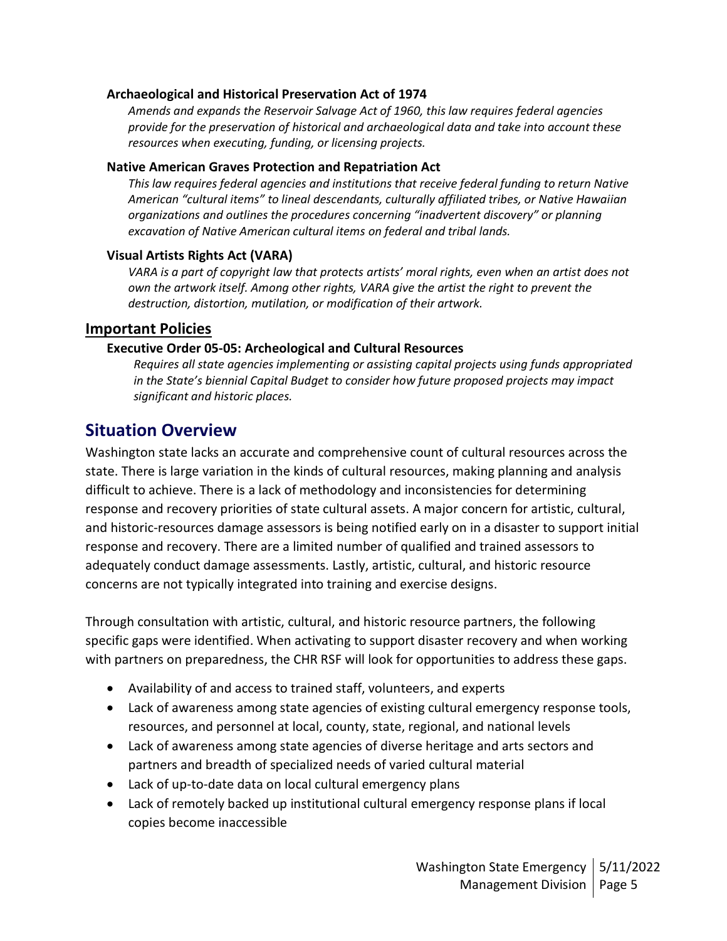#### **Archaeological and Historical Preservation Act of 1974**

*Amends and expands the Reservoir Salvage Act of 1960, this law requires federal agencies provide for the preservation of historical and archaeological data and take into account these resources when executing, funding, or licensing projects.*

#### **Native American Graves Protection and Repatriation Act**

*This law requires federal agencies and institutions that receive federal funding to return Native American "cultural items" to lineal descendants, culturally affiliated tribes, or Native Hawaiian organizations and outlines the procedures concerning "inadvertent discovery" or planning excavation of Native American cultural items on federal and tribal lands.* 

#### **Visual Artists Rights Act (VARA)**

*VARA is a part of copyright law that protects artists' moral rights, even when an artist does not own the artwork itself. Among other rights, VARA give the artist the right to prevent the destruction, distortion, mutilation, or modification of their artwork.* 

#### **Important Policies**

#### **Executive Order 05-05: Archeological and Cultural Resources**

*Requires all state agencies implementing or assisting capital projects using funds appropriated in the State's biennial Capital Budget to consider how future proposed projects may impact significant and historic places.*

### **Situation Overview**

Washington state lacks an accurate and comprehensive count of cultural resources across the state. There is large variation in the kinds of cultural resources, making planning and analysis difficult to achieve. There is a lack of methodology and inconsistencies for determining response and recovery priorities of state cultural assets. A major concern for artistic, cultural, and historic-resources damage assessors is being notified early on in a disaster to support initial response and recovery. There are a limited number of qualified and trained assessors to adequately conduct damage assessments. Lastly, artistic, cultural, and historic resource concerns are not typically integrated into training and exercise designs.

Through consultation with artistic, cultural, and historic resource partners, the following specific gaps were identified. When activating to support disaster recovery and when working with partners on preparedness, the CHR RSF will look for opportunities to address these gaps.

- Availability of and access to trained staff, volunteers, and experts
- Lack of awareness among state agencies of existing cultural emergency response tools, resources, and personnel at local, county, state, regional, and national levels
- Lack of awareness among state agencies of diverse heritage and arts sectors and partners and breadth of specialized needs of varied cultural material
- Lack of up-to-date data on local cultural emergency plans
- Lack of remotely backed up institutional cultural emergency response plans if local copies become inaccessible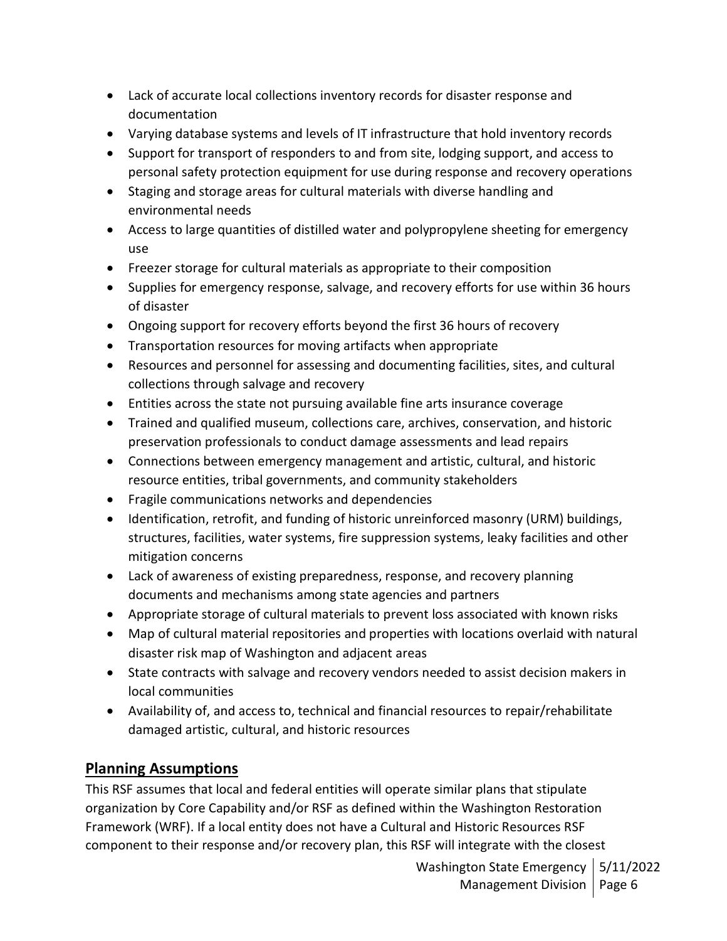- Lack of accurate local collections inventory records for disaster response and documentation
- Varying database systems and levels of IT infrastructure that hold inventory records
- Support for transport of responders to and from site, lodging support, and access to personal safety protection equipment for use during response and recovery operations
- Staging and storage areas for cultural materials with diverse handling and environmental needs
- Access to large quantities of distilled water and polypropylene sheeting for emergency use
- Freezer storage for cultural materials as appropriate to their composition
- Supplies for emergency response, salvage, and recovery efforts for use within 36 hours of disaster
- Ongoing support for recovery efforts beyond the first 36 hours of recovery
- Transportation resources for moving artifacts when appropriate
- Resources and personnel for assessing and documenting facilities, sites, and cultural collections through salvage and recovery
- Entities across the state not pursuing available fine arts insurance coverage
- Trained and qualified museum, collections care, archives, conservation, and historic preservation professionals to conduct damage assessments and lead repairs
- Connections between emergency management and artistic, cultural, and historic resource entities, tribal governments, and community stakeholders
- Fragile communications networks and dependencies
- Identification, retrofit, and funding of historic unreinforced masonry (URM) buildings, structures, facilities, water systems, fire suppression systems, leaky facilities and other mitigation concerns
- Lack of awareness of existing preparedness, response, and recovery planning documents and mechanisms among state agencies and partners
- Appropriate storage of cultural materials to prevent loss associated with known risks
- Map of cultural material repositories and properties with locations overlaid with natural disaster risk map of Washington and adjacent areas
- State contracts with salvage and recovery vendors needed to assist decision makers in local communities
- Availability of, and access to, technical and financial resources to repair/rehabilitate damaged artistic, cultural, and historic resources

## **Planning Assumptions**

This RSF assumes that local and federal entities will operate similar plans that stipulate organization by Core Capability and/or RSF as defined within the Washington Restoration Framework (WRF). If a local entity does not have a Cultural and Historic Resources RSF component to their response and/or recovery plan, this RSF will integrate with the closest

> Washington State Emergency | 5/11/2022 Management Division | Page 6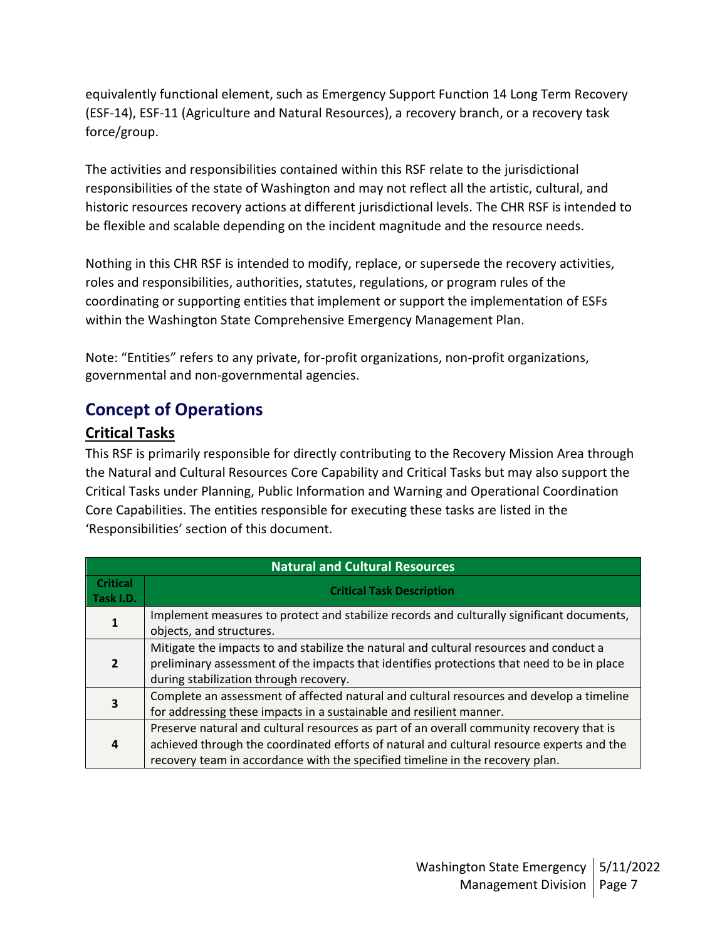equivalently functional element, such as Emergency Support Function 14 Long Term Recovery (ESF-14), ESF-11 (Agriculture and Natural Resources), a recovery branch, or a recovery task force/group.

The activities and responsibilities contained within this RSF relate to the jurisdictional responsibilities of the state of Washington and may not reflect all the artistic, cultural, and historic resources recovery actions at different jurisdictional levels. The CHR RSF is intended to be flexible and scalable depending on the incident magnitude and the resource needs.

Nothing in this CHR RSF is intended to modify, replace, or supersede the recovery activities, roles and responsibilities, authorities, statutes, regulations, or program rules of the coordinating or supporting entities that implement or support the implementation of ESFs within the Washington State Comprehensive Emergency Management Plan.

Note: "Entities" refers to any private, for-profit organizations, non-profit organizations, governmental and non-governmental agencies.

## **Concept of Operations**

## **Critical Tasks**

This RSF is primarily responsible for directly contributing to the Recovery Mission Area through the Natural and Cultural Resources Core Capability and Critical Tasks but may also support the Critical Tasks under Planning, Public Information and Warning and Operational Coordination Core Capabilities. The entities responsible for executing these tasks are listed in the 'Responsibilities' section of this document.

| <b>Natural and Cultural Resources</b> |                                                                                                                                                                                                                                                                        |  |
|---------------------------------------|------------------------------------------------------------------------------------------------------------------------------------------------------------------------------------------------------------------------------------------------------------------------|--|
| <b>Critical</b><br>Task I.D.          | <b>Critical Task Description</b>                                                                                                                                                                                                                                       |  |
|                                       | Implement measures to protect and stabilize records and culturally significant documents,<br>objects, and structures.                                                                                                                                                  |  |
| $\overline{2}$                        | Mitigate the impacts to and stabilize the natural and cultural resources and conduct a<br>preliminary assessment of the impacts that identifies protections that need to be in place<br>during stabilization through recovery.                                         |  |
|                                       | Complete an assessment of affected natural and cultural resources and develop a timeline<br>for addressing these impacts in a sustainable and resilient manner.                                                                                                        |  |
|                                       | Preserve natural and cultural resources as part of an overall community recovery that is<br>achieved through the coordinated efforts of natural and cultural resource experts and the<br>recovery team in accordance with the specified timeline in the recovery plan. |  |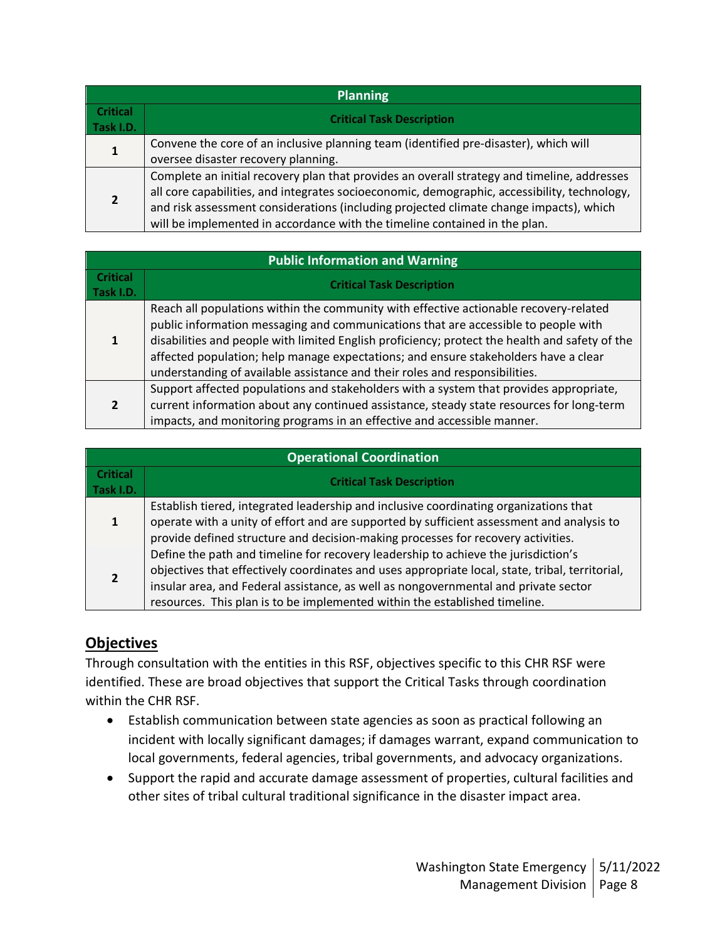| <b>Planning</b>              |                                                                                                                                                                                                                                                                                                                                                                     |  |  |
|------------------------------|---------------------------------------------------------------------------------------------------------------------------------------------------------------------------------------------------------------------------------------------------------------------------------------------------------------------------------------------------------------------|--|--|
| <b>Critical</b><br>Task I.D. | <b>Critical Task Description</b>                                                                                                                                                                                                                                                                                                                                    |  |  |
|                              | Convene the core of an inclusive planning team (identified pre-disaster), which will<br>oversee disaster recovery planning.                                                                                                                                                                                                                                         |  |  |
|                              | Complete an initial recovery plan that provides an overall strategy and timeline, addresses<br>all core capabilities, and integrates socioeconomic, demographic, accessibility, technology,<br>and risk assessment considerations (including projected climate change impacts), which<br>will be implemented in accordance with the timeline contained in the plan. |  |  |

| <b>Public Information and Warning</b> |                                                                                                                                                                                                                                                                                                                                                                                                                                                     |  |  |
|---------------------------------------|-----------------------------------------------------------------------------------------------------------------------------------------------------------------------------------------------------------------------------------------------------------------------------------------------------------------------------------------------------------------------------------------------------------------------------------------------------|--|--|
| <b>Critical</b><br>Task I.D.          | <b>Critical Task Description</b>                                                                                                                                                                                                                                                                                                                                                                                                                    |  |  |
| 1                                     | Reach all populations within the community with effective actionable recovery-related<br>public information messaging and communications that are accessible to people with<br>disabilities and people with limited English proficiency; protect the health and safety of the<br>affected population; help manage expectations; and ensure stakeholders have a clear<br>understanding of available assistance and their roles and responsibilities. |  |  |
| $\overline{2}$                        | Support affected populations and stakeholders with a system that provides appropriate,<br>current information about any continued assistance, steady state resources for long-term<br>impacts, and monitoring programs in an effective and accessible manner.                                                                                                                                                                                       |  |  |

| <b>Operational Coordination</b> |                                                                                                                                                                                                                                                                                                                                                            |  |  |
|---------------------------------|------------------------------------------------------------------------------------------------------------------------------------------------------------------------------------------------------------------------------------------------------------------------------------------------------------------------------------------------------------|--|--|
| <b>Critical</b><br>Task I.D.    | <b>Critical Task Description</b>                                                                                                                                                                                                                                                                                                                           |  |  |
| 1                               | Establish tiered, integrated leadership and inclusive coordinating organizations that<br>operate with a unity of effort and are supported by sufficient assessment and analysis to<br>provide defined structure and decision-making processes for recovery activities.                                                                                     |  |  |
|                                 | Define the path and timeline for recovery leadership to achieve the jurisdiction's<br>objectives that effectively coordinates and uses appropriate local, state, tribal, territorial,<br>insular area, and Federal assistance, as well as nongovernmental and private sector<br>resources. This plan is to be implemented within the established timeline. |  |  |

## **Objectives**

Through consultation with the entities in this RSF, objectives specific to this CHR RSF were identified. These are broad objectives that support the Critical Tasks through coordination within the CHR RSF.

- Establish communication between state agencies as soon as practical following an incident with locally significant damages; if damages warrant, expand communication to local governments, federal agencies, tribal governments, and advocacy organizations.
- Support the rapid and accurate damage assessment of properties, cultural facilities and other sites of tribal cultural traditional significance in the disaster impact area.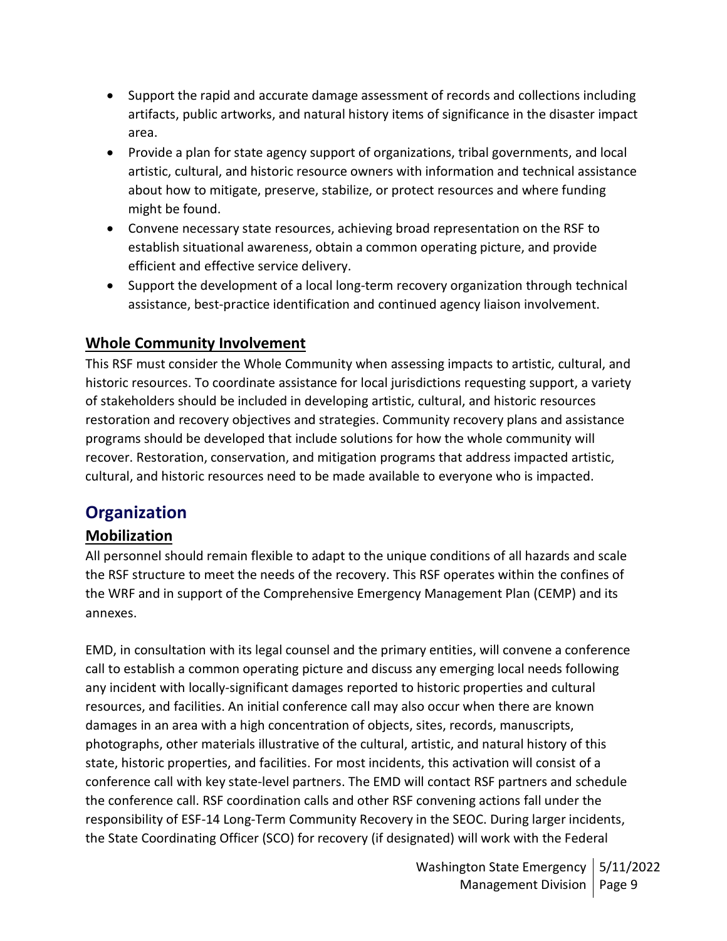- Support the rapid and accurate damage assessment of records and collections including artifacts, public artworks, and natural history items of significance in the disaster impact area.
- Provide a plan for state agency support of organizations, tribal governments, and local artistic, cultural, and historic resource owners with information and technical assistance about how to mitigate, preserve, stabilize, or protect resources and where funding might be found.
- Convene necessary state resources, achieving broad representation on the RSF to establish situational awareness, obtain a common operating picture, and provide efficient and effective service delivery.
- Support the development of a local long-term recovery organization through technical assistance, best-practice identification and continued agency liaison involvement.

## **Whole Community Involvement**

This RSF must consider the Whole Community when assessing impacts to artistic, cultural, and historic resources. To coordinate assistance for local jurisdictions requesting support, a variety of stakeholders should be included in developing artistic, cultural, and historic resources restoration and recovery objectives and strategies. Community recovery plans and assistance programs should be developed that include solutions for how the whole community will recover. Restoration, conservation, and mitigation programs that address impacted artistic, cultural, and historic resources need to be made available to everyone who is impacted.

## **Organization**

## **Mobilization**

All personnel should remain flexible to adapt to the unique conditions of all hazards and scale the RSF structure to meet the needs of the recovery. This RSF operates within the confines of the WRF and in support of the Comprehensive Emergency Management Plan (CEMP) and its annexes.

EMD, in consultation with its legal counsel and the primary entities, will convene a conference call to establish a common operating picture and discuss any emerging local needs following any incident with locally-significant damages reported to historic properties and cultural resources, and facilities. An initial conference call may also occur when there are known damages in an area with a high concentration of objects, sites, records, manuscripts, photographs, other materials illustrative of the cultural, artistic, and natural history of this state, historic properties, and facilities. For most incidents, this activation will consist of a conference call with key state-level partners. The EMD will contact RSF partners and schedule the conference call. RSF coordination calls and other RSF convening actions fall under the responsibility of ESF-14 Long-Term Community Recovery in the SEOC. During larger incidents, the State Coordinating Officer (SCO) for recovery (if designated) will work with the Federal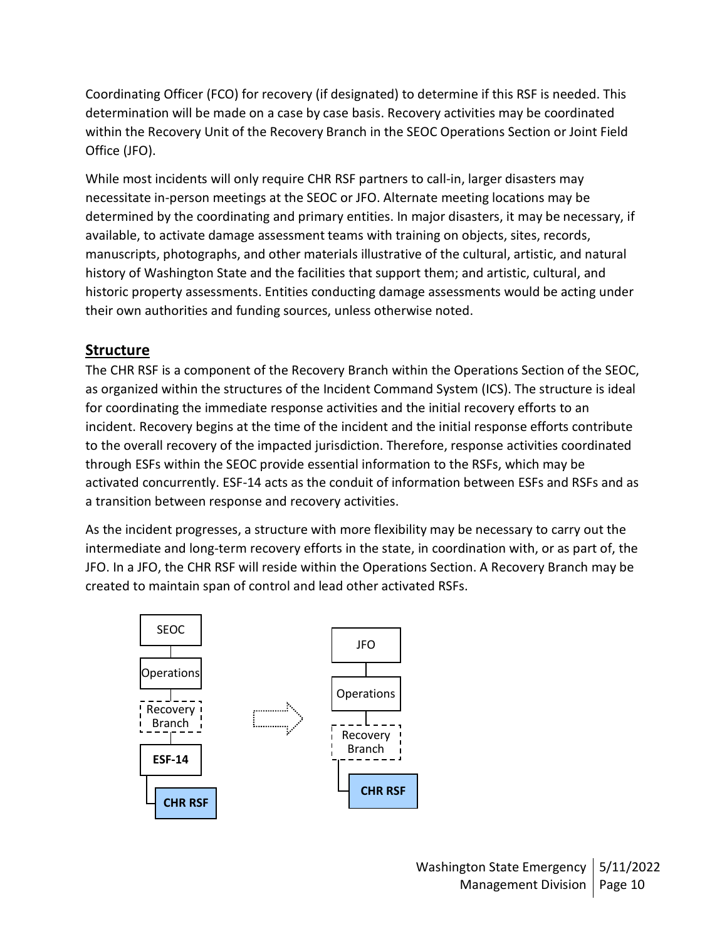Coordinating Officer (FCO) for recovery (if designated) to determine if this RSF is needed. This determination will be made on a case by case basis. Recovery activities may be coordinated within the Recovery Unit of the Recovery Branch in the SEOC Operations Section or Joint Field Office (JFO).

While most incidents will only require CHR RSF partners to call-in, larger disasters may necessitate in-person meetings at the SEOC or JFO. Alternate meeting locations may be determined by the coordinating and primary entities. In major disasters, it may be necessary, if available, to activate damage assessment teams with training on objects, sites, records, manuscripts, photographs, and other materials illustrative of the cultural, artistic, and natural history of Washington State and the facilities that support them; and artistic, cultural, and historic property assessments. Entities conducting damage assessments would be acting under their own authorities and funding sources, unless otherwise noted.

## **Structure**

The CHR RSF is a component of the Recovery Branch within the Operations Section of the SEOC, as organized within the structures of the Incident Command System (ICS). The structure is ideal for coordinating the immediate response activities and the initial recovery efforts to an incident. Recovery begins at the time of the incident and the initial response efforts contribute to the overall recovery of the impacted jurisdiction. Therefore, response activities coordinated through ESFs within the SEOC provide essential information to the RSFs, which may be activated concurrently. ESF-14 acts as the conduit of information between ESFs and RSFs and as a transition between response and recovery activities.

As the incident progresses, a structure with more flexibility may be necessary to carry out the intermediate and long-term recovery efforts in the state, in coordination with, or as part of, the JFO. In a JFO, the CHR RSF will reside within the Operations Section. A Recovery Branch may be created to maintain span of control and lead other activated RSFs.

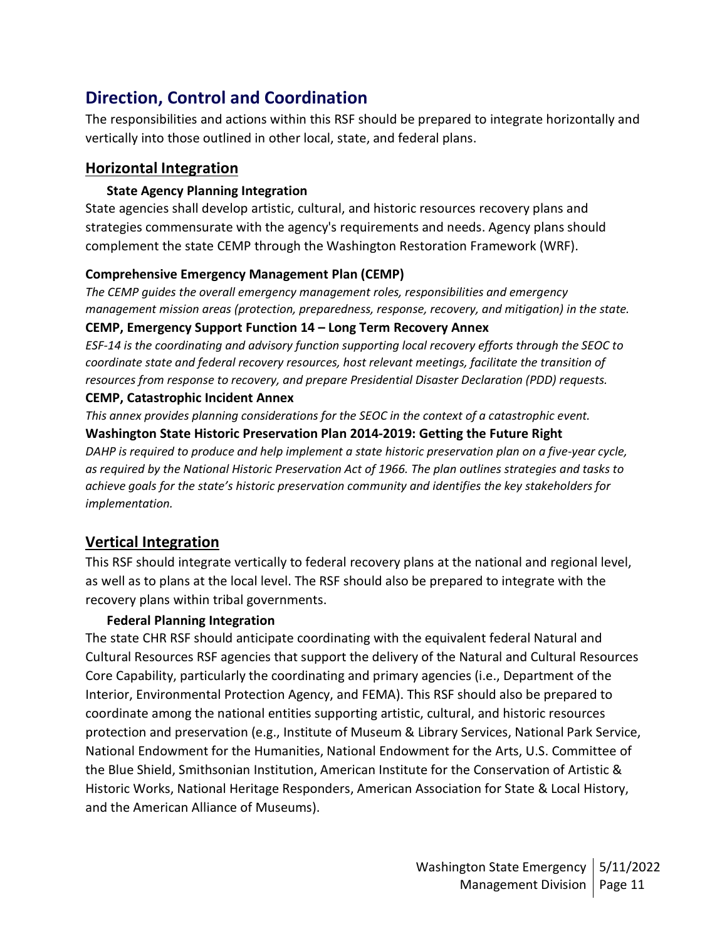## **Direction, Control and Coordination**

The responsibilities and actions within this RSF should be prepared to integrate horizontally and vertically into those outlined in other local, state, and federal plans.

### **Horizontal Integration**

#### **State Agency Planning Integration**

State agencies shall develop artistic, cultural, and historic resources recovery plans and strategies commensurate with the agency's requirements and needs. Agency plans should complement the state CEMP through the Washington Restoration Framework (WRF).

#### **Comprehensive Emergency Management Plan (CEMP)**

*The CEMP guides the overall emergency management roles, responsibilities and emergency management mission areas (protection, preparedness, response, recovery, and mitigation) in the state.*

#### **CEMP, Emergency Support Function 14 – Long Term Recovery Annex**

*ESF-14 is the coordinating and advisory function supporting local recovery efforts through the SEOC to coordinate state and federal recovery resources, host relevant meetings, facilitate the transition of resources from response to recovery, and prepare Presidential Disaster Declaration (PDD) requests.*

#### **CEMP, Catastrophic Incident Annex**

*This annex provides planning considerations for the SEOC in the context of a catastrophic event.* **Washington State Historic Preservation Plan 2014-2019: Getting the Future Right** *DAHP is required to produce and help implement a state historic preservation plan on a five-year cycle, as required by the National Historic Preservation Act of 1966. The plan outlines strategies and tasks to achieve goals for the state's historic preservation community and identifies the key stakeholders for implementation.*

## **Vertical Integration**

This RSF should integrate vertically to federal recovery plans at the national and regional level, as well as to plans at the local level. The RSF should also be prepared to integrate with the recovery plans within tribal governments.

#### **Federal Planning Integration**

The state CHR RSF should anticipate coordinating with the equivalent federal Natural and Cultural Resources RSF agencies that support the delivery of the Natural and Cultural Resources Core Capability, particularly the coordinating and primary agencies (i.e., Department of the Interior, Environmental Protection Agency, and FEMA). This RSF should also be prepared to coordinate among the national entities supporting artistic, cultural, and historic resources protection and preservation (e.g., Institute of Museum & Library Services, National Park Service, National Endowment for the Humanities, National Endowment for the Arts, U.S. Committee of the Blue Shield, Smithsonian Institution, American Institute for the Conservation of Artistic & Historic Works, National Heritage Responders, American Association for State & Local History, and the American Alliance of Museums).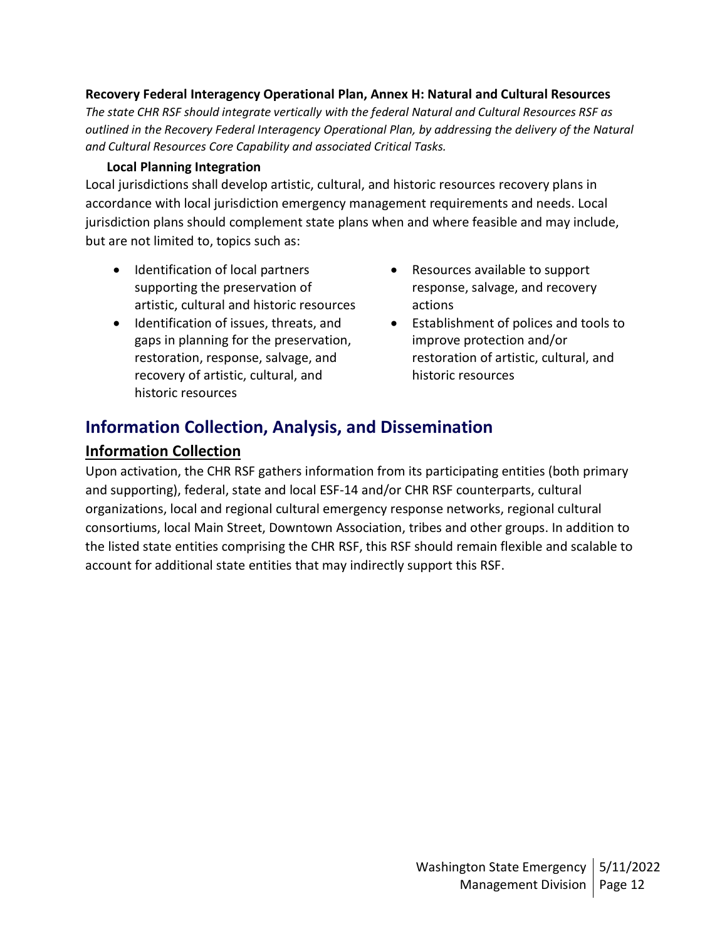#### **Recovery Federal Interagency Operational Plan, Annex H: Natural and Cultural Resources**

*The state CHR RSF should integrate vertically with the federal Natural and Cultural Resources RSF as outlined in the Recovery Federal Interagency Operational Plan, by addressing the delivery of the Natural and Cultural Resources Core Capability and associated Critical Tasks.*

#### **Local Planning Integration**

Local jurisdictions shall develop artistic, cultural, and historic resources recovery plans in accordance with local jurisdiction emergency management requirements and needs. Local jurisdiction plans should complement state plans when and where feasible and may include, but are not limited to, topics such as:

- Identification of local partners supporting the preservation of artistic, cultural and historic resources
- Identification of issues, threats, and gaps in planning for the preservation, restoration, response, salvage, and recovery of artistic, cultural, and historic resources
- Resources available to support response, salvage, and recovery actions
- Establishment of polices and tools to improve protection and/or restoration of artistic, cultural, and historic resources

## **Information Collection, Analysis, and Dissemination**

#### **Information Collection**

Upon activation, the CHR RSF gathers information from its participating entities (both primary and supporting), federal, state and local ESF-14 and/or CHR RSF counterparts, cultural organizations, local and regional cultural emergency response networks, regional cultural consortiums, local Main Street, Downtown Association, tribes and other groups. In addition to the listed state entities comprising the CHR RSF, this RSF should remain flexible and scalable to account for additional state entities that may indirectly support this RSF.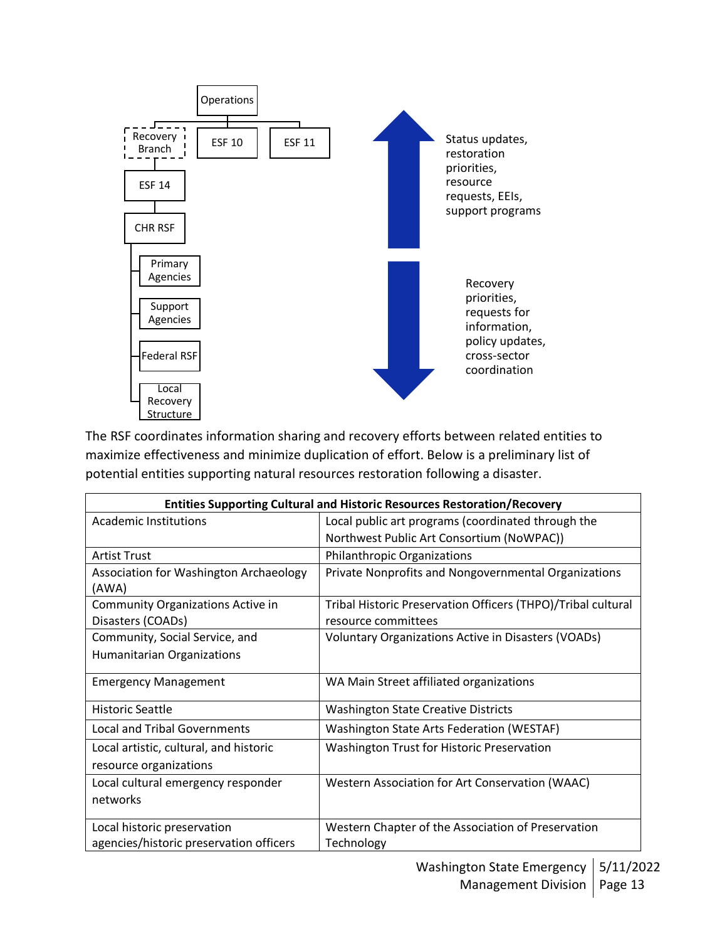

The RSF coordinates information sharing and recovery efforts between related entities to maximize effectiveness and minimize duplication of effort. Below is a preliminary list of potential entities supporting natural resources restoration following a disaster.

| <b>Entities Supporting Cultural and Historic Resources Restoration/Recovery</b> |                                                              |  |  |  |
|---------------------------------------------------------------------------------|--------------------------------------------------------------|--|--|--|
| <b>Academic Institutions</b>                                                    | Local public art programs (coordinated through the           |  |  |  |
|                                                                                 | Northwest Public Art Consortium (NoWPAC))                    |  |  |  |
| <b>Artist Trust</b>                                                             | Philanthropic Organizations                                  |  |  |  |
| Association for Washington Archaeology                                          | Private Nonprofits and Nongovernmental Organizations         |  |  |  |
| (AWA)                                                                           |                                                              |  |  |  |
| Community Organizations Active in                                               | Tribal Historic Preservation Officers (THPO)/Tribal cultural |  |  |  |
| Disasters (COADs)                                                               | resource committees                                          |  |  |  |
| Community, Social Service, and                                                  | <b>Voluntary Organizations Active in Disasters (VOADs)</b>   |  |  |  |
| Humanitarian Organizations                                                      |                                                              |  |  |  |
| <b>Emergency Management</b>                                                     | WA Main Street affiliated organizations                      |  |  |  |
| <b>Historic Seattle</b>                                                         | <b>Washington State Creative Districts</b>                   |  |  |  |
| <b>Local and Tribal Governments</b>                                             | <b>Washington State Arts Federation (WESTAF)</b>             |  |  |  |
| Local artistic, cultural, and historic                                          | <b>Washington Trust for Historic Preservation</b>            |  |  |  |
| resource organizations                                                          |                                                              |  |  |  |
| Local cultural emergency responder                                              | Western Association for Art Conservation (WAAC)              |  |  |  |
| networks                                                                        |                                                              |  |  |  |
| Local historic preservation                                                     | Western Chapter of the Association of Preservation           |  |  |  |
| agencies/historic preservation officers                                         | Technology                                                   |  |  |  |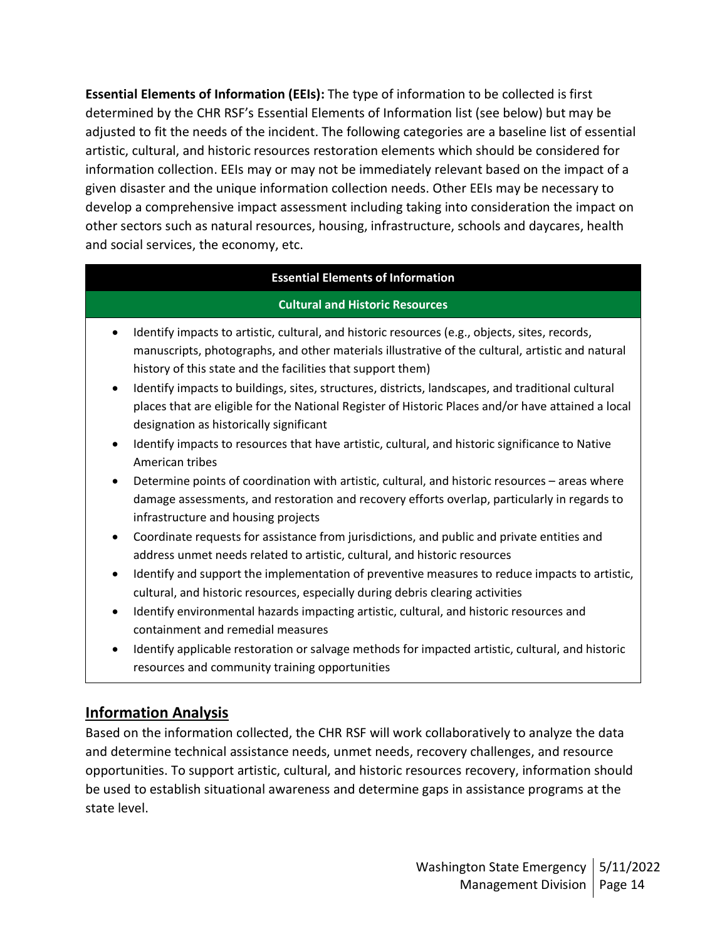**Essential Elements of Information (EEIs):** The type of information to be collected is first determined by the CHR RSF's Essential Elements of Information list (see below) but may be adjusted to fit the needs of the incident. The following categories are a baseline list of essential artistic, cultural, and historic resources restoration elements which should be considered for information collection. EEIs may or may not be immediately relevant based on the impact of a given disaster and the unique information collection needs. Other EEIs may be necessary to develop a comprehensive impact assessment including taking into consideration the impact on other sectors such as natural resources, housing, infrastructure, schools and daycares, health and social services, the economy, etc.

#### **Essential Elements of Information**

#### **Cultural and Historic Resources**

- Identify impacts to artistic, cultural, and historic resources (e.g., objects, sites, records, manuscripts, photographs, and other materials illustrative of the cultural, artistic and natural history of this state and the facilities that support them)
- Identify impacts to buildings, sites, structures, districts, landscapes, and traditional cultural places that are eligible for the National Register of Historic Places and/or have attained a local designation as historically significant
- Identify impacts to resources that have artistic, cultural, and historic significance to Native American tribes
- Determine points of coordination with artistic, cultural, and historic resources areas where damage assessments, and restoration and recovery efforts overlap, particularly in regards to infrastructure and housing projects
- Coordinate requests for assistance from jurisdictions, and public and private entities and address unmet needs related to artistic, cultural, and historic resources
- Identify and support the implementation of preventive measures to reduce impacts to artistic, cultural, and historic resources, especially during debris clearing activities
- Identify environmental hazards impacting artistic, cultural, and historic resources and containment and remedial measures
- Identify applicable restoration or salvage methods for impacted artistic, cultural, and historic resources and community training opportunities

## **Information Analysis**

Based on the information collected, the CHR RSF will work collaboratively to analyze the data and determine technical assistance needs, unmet needs, recovery challenges, and resource opportunities. To support artistic, cultural, and historic resources recovery, information should be used to establish situational awareness and determine gaps in assistance programs at the state level.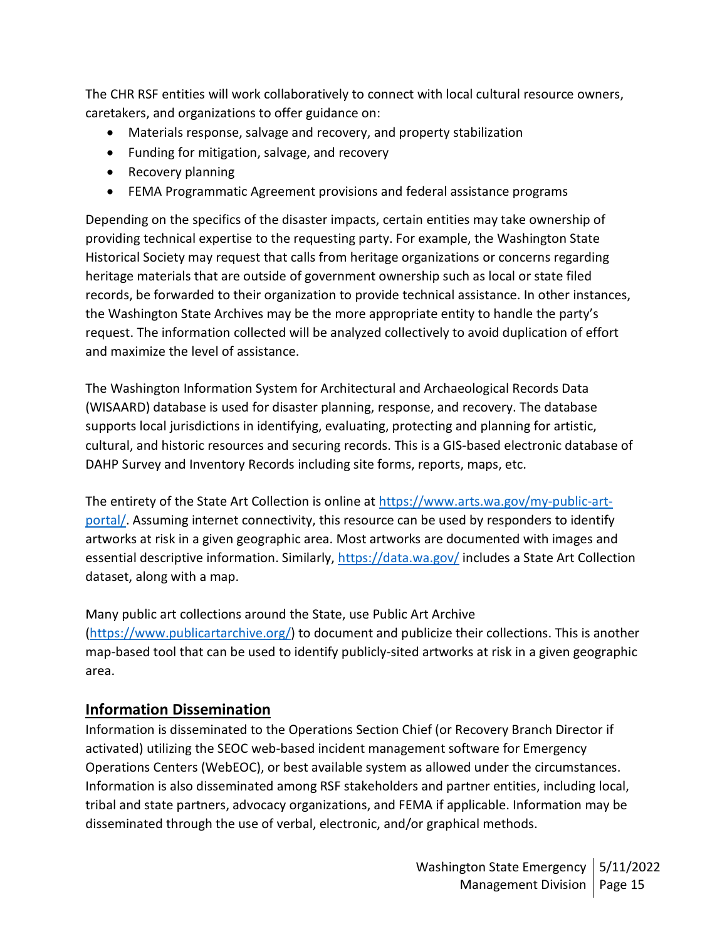The CHR RSF entities will work collaboratively to connect with local cultural resource owners, caretakers, and organizations to offer guidance on:

- Materials response, salvage and recovery, and property stabilization
- Funding for mitigation, salvage, and recovery
- Recovery planning
- FEMA Programmatic Agreement provisions and federal assistance programs

Depending on the specifics of the disaster impacts, certain entities may take ownership of providing technical expertise to the requesting party. For example, the Washington State Historical Society may request that calls from heritage organizations or concerns regarding heritage materials that are outside of government ownership such as local or state filed records, be forwarded to their organization to provide technical assistance. In other instances, the Washington State Archives may be the more appropriate entity to handle the party's request. The information collected will be analyzed collectively to avoid duplication of effort and maximize the level of assistance.

The Washington Information System for Architectural and Archaeological Records Data (WISAARD) database is used for disaster planning, response, and recovery. The database supports local jurisdictions in identifying, evaluating, protecting and planning for artistic, cultural, and historic resources and securing records. This is a GIS-based electronic database of DAHP Survey and Inventory Records including site forms, reports, maps, etc.

The entirety of the State Art Collection is online at [https://www.arts.wa.gov/my-public-art](https://www.arts.wa.gov/my-public-art-portal/)[portal/.](https://www.arts.wa.gov/my-public-art-portal/) Assuming internet connectivity, this resource can be used by responders to identify artworks at risk in a given geographic area. Most artworks are documented with images and essential descriptive information. Similarly,<https://data.wa.gov/> includes a State Art Collection dataset, along with a map.

Many public art collections around the State, use Public Art Archive [\(https://www.publicartarchive.org/\)](https://www.publicartarchive.org/) to document and publicize their collections. This is another map-based tool that can be used to identify publicly-sited artworks at risk in a given geographic area.

## **Information Dissemination**

Information is disseminated to the Operations Section Chief (or Recovery Branch Director if activated) utilizing the SEOC web-based incident management software for Emergency Operations Centers (WebEOC), or best available system as allowed under the circumstances. Information is also disseminated among RSF stakeholders and partner entities, including local, tribal and state partners, advocacy organizations, and FEMA if applicable. Information may be disseminated through the use of verbal, electronic, and/or graphical methods.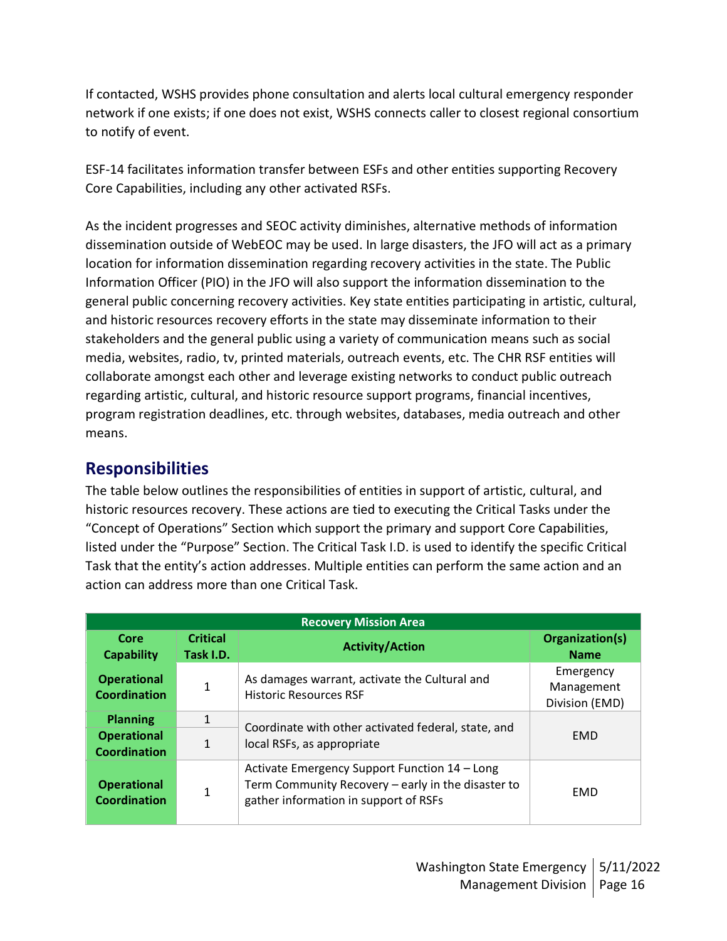If contacted, WSHS provides phone consultation and alerts local cultural emergency responder network if one exists; if one does not exist, WSHS connects caller to closest regional consortium to notify of event.

ESF-14 facilitates information transfer between ESFs and other entities supporting Recovery Core Capabilities, including any other activated RSFs.

As the incident progresses and SEOC activity diminishes, alternative methods of information dissemination outside of WebEOC may be used. In large disasters, the JFO will act as a primary location for information dissemination regarding recovery activities in the state. The Public Information Officer (PIO) in the JFO will also support the information dissemination to the general public concerning recovery activities. Key state entities participating in artistic, cultural, and historic resources recovery efforts in the state may disseminate information to their stakeholders and the general public using a variety of communication means such as social media, websites, radio, tv, printed materials, outreach events, etc. The CHR RSF entities will collaborate amongst each other and leverage existing networks to conduct public outreach regarding artistic, cultural, and historic resource support programs, financial incentives, program registration deadlines, etc. through websites, databases, media outreach and other means.

## **Responsibilities**

The table below outlines the responsibilities of entities in support of artistic, cultural, and historic resources recovery. These actions are tied to executing the Critical Tasks under the "Concept of Operations" Section which support the primary and support Core Capabilities, listed under the "Purpose" Section. The Critical Task I.D. is used to identify the specific Critical Task that the entity's action addresses. Multiple entities can perform the same action and an action can address more than one Critical Task.

| <b>Recovery Mission Area</b>              |                              |                                                                                                                                              |                                           |
|-------------------------------------------|------------------------------|----------------------------------------------------------------------------------------------------------------------------------------------|-------------------------------------------|
| Core<br><b>Capability</b>                 | <b>Critical</b><br>Task I.D. | <b>Activity/Action</b>                                                                                                                       | Organization(s)<br><b>Name</b>            |
| <b>Operational</b><br><b>Coordination</b> | 1                            | As damages warrant, activate the Cultural and<br><b>Historic Resources RSF</b>                                                               | Emergency<br>Management<br>Division (EMD) |
| <b>Planning</b>                           | 1                            |                                                                                                                                              |                                           |
| <b>Operational</b><br><b>Coordination</b> | $\mathbf{1}$                 | Coordinate with other activated federal, state, and<br>local RSFs, as appropriate                                                            | <b>EMD</b>                                |
| <b>Operational</b><br><b>Coordination</b> | 1                            | Activate Emergency Support Function 14 - Long<br>Term Community Recovery - early in the disaster to<br>gather information in support of RSFs | <b>EMD</b>                                |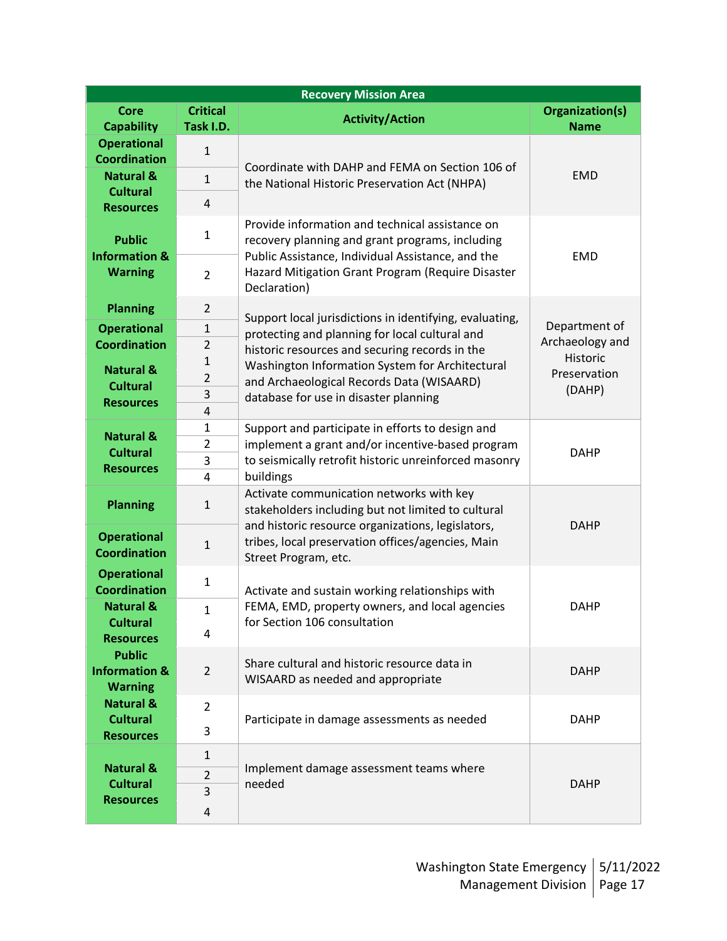| <b>Recovery Mission Area</b>              |                              |                                                                    |                                |  |
|-------------------------------------------|------------------------------|--------------------------------------------------------------------|--------------------------------|--|
| Core<br><b>Capability</b>                 | <b>Critical</b><br>Task I.D. | <b>Activity/Action</b>                                             | Organization(s)<br><b>Name</b> |  |
| <b>Operational</b>                        |                              |                                                                    |                                |  |
| <b>Coordination</b>                       | $\mathbf{1}$                 |                                                                    |                                |  |
| <b>Natural &amp;</b>                      |                              | Coordinate with DAHP and FEMA on Section 106 of                    | <b>EMD</b>                     |  |
| <b>Cultural</b>                           | $\mathbf{1}$                 | the National Historic Preservation Act (NHPA)                      |                                |  |
| <b>Resources</b>                          | 4                            |                                                                    |                                |  |
|                                           |                              | Provide information and technical assistance on                    |                                |  |
| <b>Public</b>                             | $\mathbf{1}$                 | recovery planning and grant programs, including                    |                                |  |
| <b>Information &amp;</b>                  |                              | Public Assistance, Individual Assistance, and the                  | <b>EMD</b>                     |  |
| <b>Warning</b>                            | $\overline{2}$               | Hazard Mitigation Grant Program (Require Disaster                  |                                |  |
|                                           |                              | Declaration)                                                       |                                |  |
| <b>Planning</b>                           | $\overline{2}$               |                                                                    |                                |  |
|                                           | $\mathbf{1}$                 | Support local jurisdictions in identifying, evaluating,            | Department of                  |  |
| <b>Operational</b><br><b>Coordination</b> | $\overline{2}$               | protecting and planning for local cultural and                     | Archaeology and                |  |
|                                           |                              | historic resources and securing records in the                     | Historic                       |  |
| <b>Natural &amp;</b>                      | 1<br>$\overline{2}$          | Washington Information System for Architectural                    | Preservation                   |  |
| <b>Cultural</b>                           | 3                            | and Archaeological Records Data (WISAARD)                          | (DAHP)                         |  |
| <b>Resources</b>                          | 4                            | database for use in disaster planning                              |                                |  |
|                                           | $\mathbf{1}$                 | Support and participate in efforts to design and                   |                                |  |
| <b>Natural &amp;</b>                      | $\overline{2}$               | implement a grant and/or incentive-based program                   |                                |  |
| <b>Cultural</b>                           | 3                            | to seismically retrofit historic unreinforced masonry<br>buildings | <b>DAHP</b>                    |  |
| <b>Resources</b>                          | 4                            |                                                                    |                                |  |
|                                           |                              | Activate communication networks with key                           |                                |  |
| <b>Planning</b><br>$\mathbf{1}$           |                              | stakeholders including but not limited to cultural                 |                                |  |
|                                           |                              | and historic resource organizations, legislators,                  | <b>DAHP</b>                    |  |
| <b>Operational</b>                        | $\mathbf{1}$                 | tribes, local preservation offices/agencies, Main                  |                                |  |
| <b>Coordination</b>                       |                              | Street Program, etc.                                               |                                |  |
| <b>Operational</b>                        | $\mathbf{1}$                 |                                                                    |                                |  |
| <b>Coordination</b>                       |                              | Activate and sustain working relationships with                    |                                |  |
| <b>Natural &amp;</b>                      | $\mathbf{1}$                 | FEMA, EMD, property owners, and local agencies                     | <b>DAHP</b>                    |  |
| <b>Cultural</b>                           | 4                            | for Section 106 consultation                                       |                                |  |
| <b>Resources</b>                          |                              |                                                                    |                                |  |
| <b>Public</b>                             |                              | Share cultural and historic resource data in                       |                                |  |
| <b>Information &amp;</b>                  | $\overline{2}$               | WISAARD as needed and appropriate                                  | <b>DAHP</b>                    |  |
| <b>Warning</b><br><b>Natural &amp;</b>    |                              |                                                                    |                                |  |
| <b>Cultural</b>                           | $\overline{2}$               | Participate in damage assessments as needed                        | <b>DAHP</b>                    |  |
| <b>Resources</b>                          | 3                            |                                                                    |                                |  |
|                                           | $\mathbf{1}$                 |                                                                    |                                |  |
| <b>Natural &amp;</b>                      | 2                            | Implement damage assessment teams where                            |                                |  |
| <b>Cultural</b>                           | 3                            | needed                                                             | <b>DAHP</b>                    |  |
| <b>Resources</b>                          | 4                            |                                                                    |                                |  |
|                                           |                              |                                                                    |                                |  |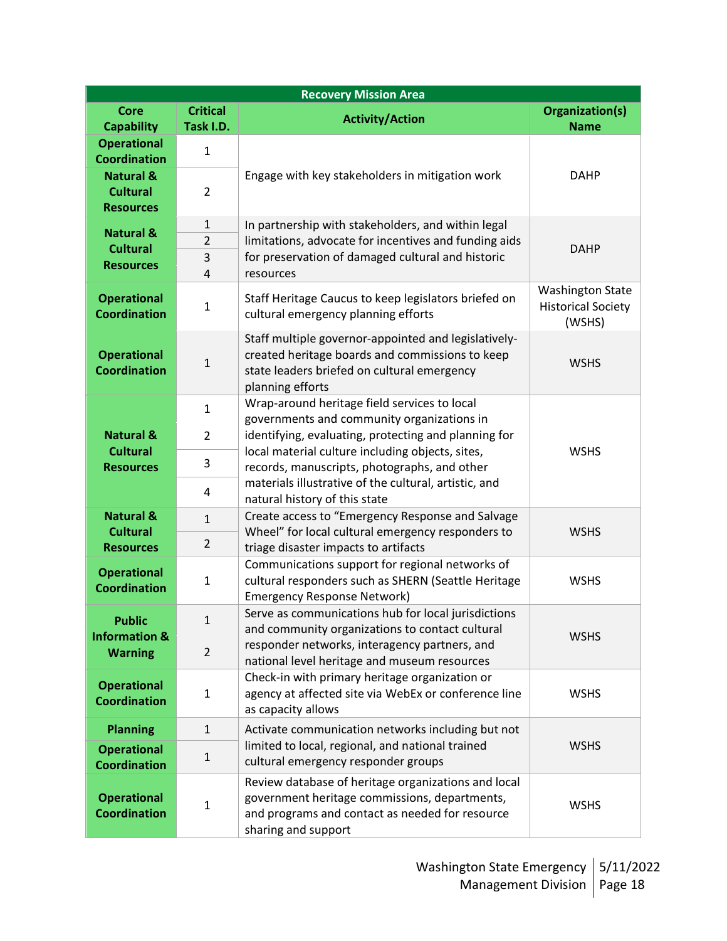| <b>Recovery Mission Area</b>              |                                |                                                                                                                                                                                            |                                     |  |
|-------------------------------------------|--------------------------------|--------------------------------------------------------------------------------------------------------------------------------------------------------------------------------------------|-------------------------------------|--|
| <b>Core</b>                               | <b>Critical</b>                | <b>Activity/Action</b>                                                                                                                                                                     | Organization(s)                     |  |
| <b>Capability</b>                         | Task I.D.                      |                                                                                                                                                                                            | <b>Name</b>                         |  |
| <b>Operational</b>                        | $\mathbf{1}$                   |                                                                                                                                                                                            |                                     |  |
| <b>Coordination</b>                       |                                |                                                                                                                                                                                            |                                     |  |
| <b>Natural &amp;</b>                      |                                | Engage with key stakeholders in mitigation work                                                                                                                                            | <b>DAHP</b>                         |  |
| <b>Cultural</b>                           | $\overline{2}$                 |                                                                                                                                                                                            |                                     |  |
| <b>Resources</b>                          |                                |                                                                                                                                                                                            |                                     |  |
| <b>Natural &amp;</b>                      | $\mathbf{1}$<br>$\overline{2}$ | In partnership with stakeholders, and within legal                                                                                                                                         |                                     |  |
| <b>Cultural</b>                           | 3                              | limitations, advocate for incentives and funding aids<br>for preservation of damaged cultural and historic                                                                                 | <b>DAHP</b>                         |  |
| <b>Resources</b>                          | 4                              | resources                                                                                                                                                                                  |                                     |  |
|                                           |                                |                                                                                                                                                                                            | <b>Washington State</b>             |  |
| <b>Operational</b><br><b>Coordination</b> | $\mathbf 1$                    | Staff Heritage Caucus to keep legislators briefed on<br>cultural emergency planning efforts                                                                                                | <b>Historical Society</b><br>(WSHS) |  |
|                                           |                                | Staff multiple governor-appointed and legislatively-                                                                                                                                       |                                     |  |
| <b>Operational</b>                        | $\mathbf{1}$                   | created heritage boards and commissions to keep                                                                                                                                            | <b>WSHS</b>                         |  |
| <b>Coordination</b>                       |                                | state leaders briefed on cultural emergency                                                                                                                                                |                                     |  |
|                                           |                                | planning efforts<br>Wrap-around heritage field services to local                                                                                                                           |                                     |  |
|                                           | $\mathbf{1}$                   | governments and community organizations in                                                                                                                                                 |                                     |  |
| <b>Natural &amp;</b>                      | $\overline{2}$                 | identifying, evaluating, protecting and planning for                                                                                                                                       |                                     |  |
| <b>Cultural</b>                           | 3                              | local material culture including objects, sites,<br>records, manuscripts, photographs, and other<br>materials illustrative of the cultural, artistic, and<br>natural history of this state | <b>WSHS</b>                         |  |
| <b>Resources</b>                          |                                |                                                                                                                                                                                            |                                     |  |
|                                           | 4                              |                                                                                                                                                                                            |                                     |  |
| <b>Natural &amp;</b>                      | $\mathbf{1}$                   | Create access to "Emergency Response and Salvage                                                                                                                                           |                                     |  |
| <b>Cultural</b>                           | $\overline{2}$                 | Wheel" for local cultural emergency responders to                                                                                                                                          | <b>WSHS</b>                         |  |
| <b>Resources</b>                          |                                | triage disaster impacts to artifacts<br>Communications support for regional networks of                                                                                                    |                                     |  |
| <b>Operational</b>                        | $\mathbf 1$                    | cultural responders such as SHERN (Seattle Heritage                                                                                                                                        | <b>WSHS</b>                         |  |
| <b>Coordination</b>                       |                                | <b>Emergency Response Network)</b>                                                                                                                                                         |                                     |  |
| <b>Public</b>                             | $\mathbf{1}$                   | Serve as communications hub for local jurisdictions                                                                                                                                        |                                     |  |
| <b>Information &amp;</b>                  |                                | and community organizations to contact cultural                                                                                                                                            | <b>WSHS</b>                         |  |
| <b>Warning</b>                            | $\overline{2}$                 | responder networks, interagency partners, and                                                                                                                                              |                                     |  |
|                                           |                                | national level heritage and museum resources                                                                                                                                               |                                     |  |
| <b>Operational</b>                        | $\mathbf 1$                    | Check-in with primary heritage organization or<br>agency at affected site via WebEx or conference line                                                                                     | <b>WSHS</b>                         |  |
| <b>Coordination</b>                       |                                | as capacity allows                                                                                                                                                                         |                                     |  |
| <b>Planning</b>                           | $\mathbf{1}$                   | Activate communication networks including but not                                                                                                                                          |                                     |  |
| <b>Operational</b>                        |                                | limited to local, regional, and national trained                                                                                                                                           | <b>WSHS</b>                         |  |
| <b>Coordination</b>                       | $\mathbf 1$                    | cultural emergency responder groups                                                                                                                                                        |                                     |  |
|                                           |                                | Review database of heritage organizations and local                                                                                                                                        |                                     |  |
| <b>Operational</b>                        | $\mathbf 1$                    | government heritage commissions, departments,                                                                                                                                              | <b>WSHS</b>                         |  |
| <b>Coordination</b>                       |                                | and programs and contact as needed for resource<br>sharing and support                                                                                                                     |                                     |  |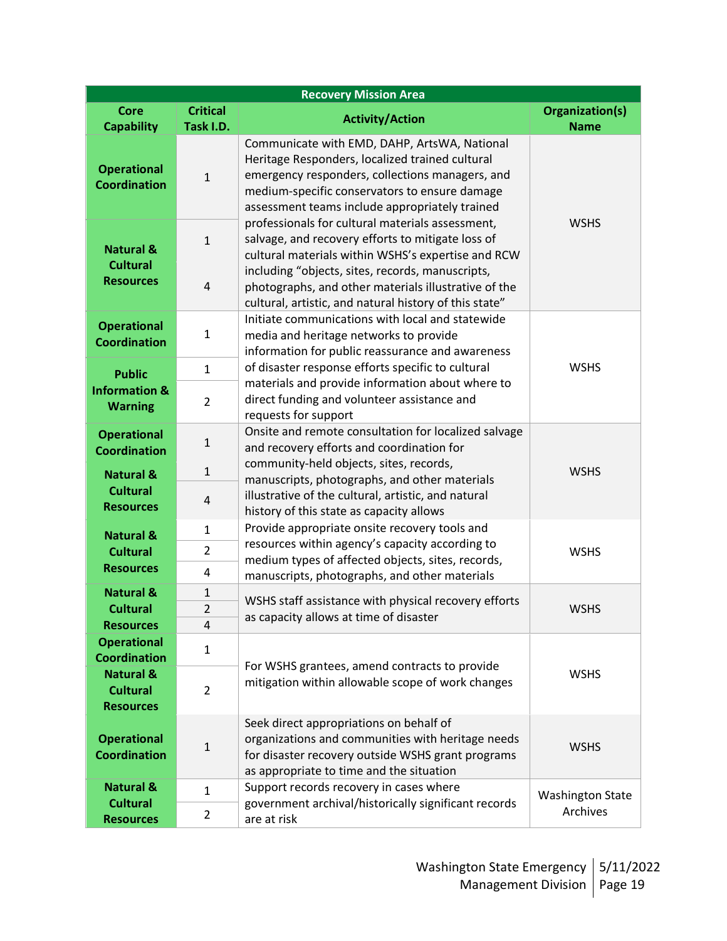| <b>Recovery Mission Area</b>                                                                     |                                                                                                   |                                                                                                                                                                                                                                                       |                         |  |
|--------------------------------------------------------------------------------------------------|---------------------------------------------------------------------------------------------------|-------------------------------------------------------------------------------------------------------------------------------------------------------------------------------------------------------------------------------------------------------|-------------------------|--|
| <b>Core</b>                                                                                      | <b>Critical</b>                                                                                   | <b>Activity/Action</b>                                                                                                                                                                                                                                | Organization(s)         |  |
| <b>Capability</b>                                                                                | Task I.D.                                                                                         |                                                                                                                                                                                                                                                       | <b>Name</b>             |  |
| <b>Operational</b><br><b>Coordination</b>                                                        | $\mathbf 1$                                                                                       | Communicate with EMD, DAHP, ArtsWA, National<br>Heritage Responders, localized trained cultural<br>emergency responders, collections managers, and<br>medium-specific conservators to ensure damage<br>assessment teams include appropriately trained | <b>WSHS</b>             |  |
| <b>Natural &amp;</b>                                                                             | $\mathbf{1}$                                                                                      | professionals for cultural materials assessment,<br>salvage, and recovery efforts to mitigate loss of<br>cultural materials within WSHS's expertise and RCW                                                                                           |                         |  |
| <b>Cultural</b><br><b>Resources</b>                                                              | $\overline{4}$                                                                                    | including "objects, sites, records, manuscripts,<br>photographs, and other materials illustrative of the<br>cultural, artistic, and natural history of this state"                                                                                    |                         |  |
| <b>Operational</b><br><b>Coordination</b>                                                        | $\mathbf{1}$                                                                                      | Initiate communications with local and statewide<br>media and heritage networks to provide<br>information for public reassurance and awareness                                                                                                        |                         |  |
| <b>Public</b>                                                                                    | $\mathbf{1}$                                                                                      | of disaster response efforts specific to cultural                                                                                                                                                                                                     | <b>WSHS</b>             |  |
| <b>Information &amp;</b><br><b>Warning</b>                                                       | $\overline{2}$                                                                                    | materials and provide information about where to<br>direct funding and volunteer assistance and<br>requests for support                                                                                                                               |                         |  |
| <b>Operational</b><br>$\mathbf 1$<br><b>Coordination</b><br>$\mathbf{1}$<br><b>Natural &amp;</b> | Onsite and remote consultation for localized salvage<br>and recovery efforts and coordination for |                                                                                                                                                                                                                                                       |                         |  |
|                                                                                                  |                                                                                                   | community-held objects, sites, records,<br>manuscripts, photographs, and other materials<br>illustrative of the cultural, artistic, and natural<br>history of this state as capacity allows                                                           | <b>WSHS</b>             |  |
| <b>Cultural</b><br><b>Resources</b>                                                              | 4                                                                                                 |                                                                                                                                                                                                                                                       |                         |  |
| <b>Natural &amp;</b>                                                                             | $\mathbf{1}$                                                                                      | Provide appropriate onsite recovery tools and                                                                                                                                                                                                         |                         |  |
| <b>Cultural</b>                                                                                  | $\overline{2}$                                                                                    | resources within agency's capacity according to                                                                                                                                                                                                       | <b>WSHS</b>             |  |
| <b>Resources</b>                                                                                 | 4                                                                                                 | medium types of affected objects, sites, records,<br>manuscripts, photographs, and other materials                                                                                                                                                    |                         |  |
| <b>Natural &amp;</b>                                                                             | $\mathbf 1$                                                                                       |                                                                                                                                                                                                                                                       |                         |  |
| <b>Cultural</b>                                                                                  | $\overline{2}$                                                                                    | WSHS staff assistance with physical recovery efforts                                                                                                                                                                                                  | <b>WSHS</b>             |  |
| <b>Resources</b>                                                                                 | 4                                                                                                 | as capacity allows at time of disaster                                                                                                                                                                                                                |                         |  |
| <b>Operational</b><br><b>Coordination</b>                                                        | $\mathbf{1}$                                                                                      | For WSHS grantees, amend contracts to provide                                                                                                                                                                                                         | <b>WSHS</b>             |  |
| <b>Natural &amp;</b><br><b>Cultural</b><br><b>Resources</b>                                      | $\overline{2}$                                                                                    | mitigation within allowable scope of work changes                                                                                                                                                                                                     |                         |  |
| <b>Operational</b><br><b>Coordination</b>                                                        | $\mathbf{1}$                                                                                      | Seek direct appropriations on behalf of<br>organizations and communities with heritage needs<br>for disaster recovery outside WSHS grant programs<br>as appropriate to time and the situation                                                         | <b>WSHS</b>             |  |
| <b>Natural &amp;</b>                                                                             | $\mathbf{1}$                                                                                      | Support records recovery in cases where                                                                                                                                                                                                               | <b>Washington State</b> |  |
| <b>Cultural</b><br><b>Resources</b>                                                              | $\overline{2}$                                                                                    | government archival/historically significant records<br>are at risk                                                                                                                                                                                   | Archives                |  |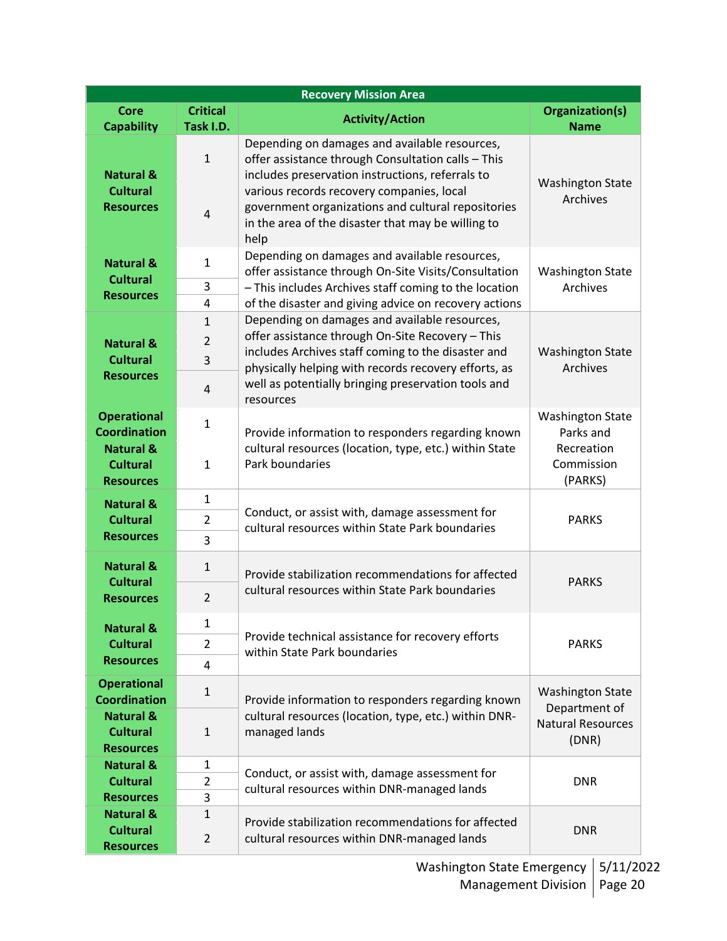| <b>Recovery Mission Area</b>                                |                              |                                                                                                                                                               |                                          |  |
|-------------------------------------------------------------|------------------------------|---------------------------------------------------------------------------------------------------------------------------------------------------------------|------------------------------------------|--|
| <b>Core</b><br><b>Capability</b>                            | <b>Critical</b><br>Task I.D. | <b>Activity/Action</b>                                                                                                                                        | <b>Organization(s)</b><br><b>Name</b>    |  |
| <b>Natural &amp;</b>                                        | $\mathbf{1}$                 | Depending on damages and available resources,<br>offer assistance through Consultation calls - This<br>includes preservation instructions, referrals to       | <b>Washington State</b><br>Archives      |  |
| <b>Cultural</b><br><b>Resources</b>                         | $\overline{4}$               | various records recovery companies, local<br>government organizations and cultural repositories<br>in the area of the disaster that may be willing to<br>help |                                          |  |
| <b>Natural &amp;</b><br><b>Cultural</b>                     | $\mathbf{1}$                 | Depending on damages and available resources,<br>offer assistance through On-Site Visits/Consultation                                                         | <b>Washington State</b>                  |  |
| <b>Resources</b>                                            | 3<br>4                       | - This includes Archives staff coming to the location<br>of the disaster and giving advice on recovery actions                                                | Archives                                 |  |
|                                                             | $\mathbf{1}$                 | Depending on damages and available resources,                                                                                                                 |                                          |  |
| <b>Natural &amp;</b>                                        | $\overline{2}$               | offer assistance through On-Site Recovery - This                                                                                                              |                                          |  |
| <b>Cultural</b>                                             | 3                            | includes Archives staff coming to the disaster and                                                                                                            | <b>Washington State</b>                  |  |
| <b>Resources</b>                                            | 4                            | physically helping with records recovery efforts, as<br>well as potentially bringing preservation tools and<br>resources                                      | Archives                                 |  |
| <b>Operational</b><br><b>Coordination</b>                   | 1                            | Provide information to responders regarding known                                                                                                             | <b>Washington State</b><br>Parks and     |  |
| <b>Natural &amp;</b><br><b>Cultural</b><br><b>Resources</b> | $\mathbf{1}$                 | cultural resources (location, type, etc.) within State<br>Park boundaries                                                                                     | Recreation<br>Commission<br>(PARKS)      |  |
| <b>Natural &amp;</b>                                        | $\mathbf{1}$                 |                                                                                                                                                               |                                          |  |
| <b>Cultural</b>                                             | $\overline{2}$               | Conduct, or assist with, damage assessment for<br>cultural resources within State Park boundaries                                                             | <b>PARKS</b>                             |  |
| <b>Resources</b>                                            | 3                            |                                                                                                                                                               |                                          |  |
| <b>Natural &amp;</b><br><b>Cultural</b>                     | $\mathbf{1}$                 | Provide stabilization recommendations for affected                                                                                                            | <b>PARKS</b>                             |  |
| <b>Resources</b>                                            | $\overline{2}$               | cultural resources within State Park boundaries                                                                                                               |                                          |  |
| <b>Natural &amp;</b>                                        | 1                            |                                                                                                                                                               |                                          |  |
| <b>Cultural</b>                                             | $\overline{2}$               | Provide technical assistance for recovery efforts<br>within State Park boundaries                                                                             | <b>PARKS</b>                             |  |
| <b>Resources</b>                                            | 4                            |                                                                                                                                                               |                                          |  |
| <b>Operational</b><br><b>Coordination</b>                   | $\mathbf{1}$                 | Provide information to responders regarding known                                                                                                             | <b>Washington State</b><br>Department of |  |
| <b>Natural &amp;</b><br><b>Cultural</b><br><b>Resources</b> | $\mathbf{1}$                 | cultural resources (location, type, etc.) within DNR-<br>managed lands                                                                                        | <b>Natural Resources</b><br>(DNR)        |  |
| <b>Natural &amp;</b>                                        | 1                            |                                                                                                                                                               |                                          |  |
| <b>Cultural</b>                                             | $\overline{2}$               | Conduct, or assist with, damage assessment for<br>cultural resources within DNR-managed lands                                                                 | <b>DNR</b>                               |  |
| <b>Resources</b>                                            | 3                            |                                                                                                                                                               |                                          |  |
| <b>Natural &amp;</b><br><b>Cultural</b>                     | $\mathbf{1}$                 | Provide stabilization recommendations for affected                                                                                                            | <b>DNR</b>                               |  |
| <b>Resources</b>                                            | $\overline{2}$               | cultural resources within DNR-managed lands                                                                                                                   |                                          |  |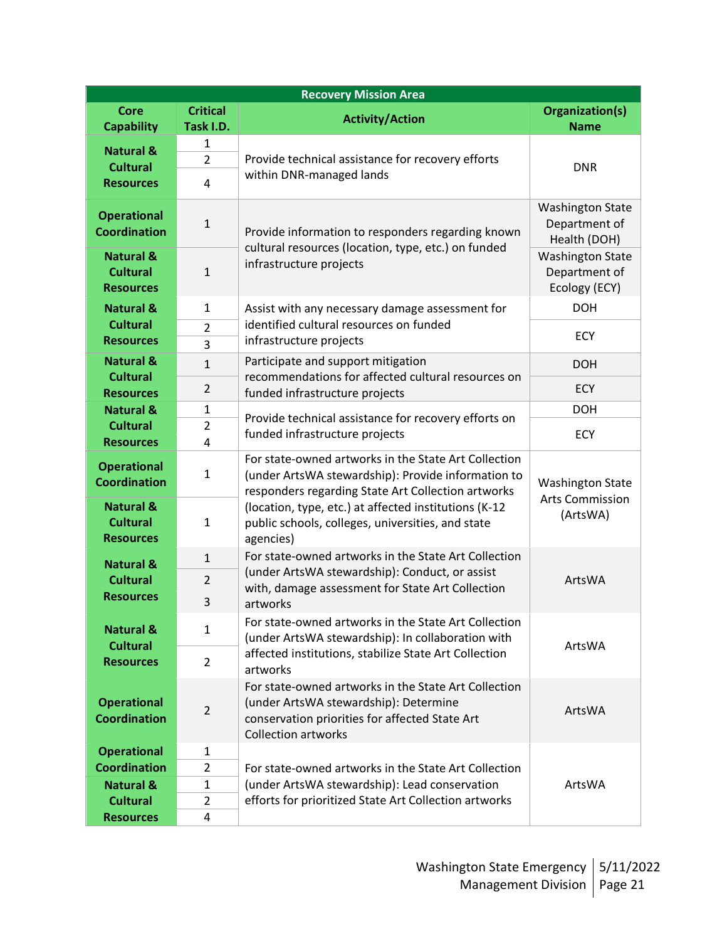| <b>Recovery Mission Area</b>                                |                                                                                     |                                                                                                                                                                               |                                                           |  |
|-------------------------------------------------------------|-------------------------------------------------------------------------------------|-------------------------------------------------------------------------------------------------------------------------------------------------------------------------------|-----------------------------------------------------------|--|
| <b>Core</b>                                                 | <b>Critical</b>                                                                     | <b>Activity/Action</b>                                                                                                                                                        | Organization(s)                                           |  |
| <b>Capability</b>                                           | Task I.D.                                                                           |                                                                                                                                                                               | <b>Name</b>                                               |  |
| <b>Natural &amp;</b>                                        | $\mathbf{1}$                                                                        |                                                                                                                                                                               |                                                           |  |
| <b>Cultural</b>                                             | $\overline{2}$                                                                      | Provide technical assistance for recovery efforts                                                                                                                             | <b>DNR</b>                                                |  |
| <b>Resources</b>                                            | 4                                                                                   | within DNR-managed lands                                                                                                                                                      |                                                           |  |
|                                                             |                                                                                     |                                                                                                                                                                               |                                                           |  |
| <b>Operational</b><br><b>Coordination</b>                   | $\mathbf 1$                                                                         | Provide information to responders regarding known<br>cultural resources (location, type, etc.) on funded                                                                      | <b>Washington State</b><br>Department of<br>Health (DOH)  |  |
| <b>Natural &amp;</b><br><b>Cultural</b><br><b>Resources</b> | $\mathbf{1}$                                                                        | infrastructure projects                                                                                                                                                       | <b>Washington State</b><br>Department of<br>Ecology (ECY) |  |
| <b>Natural &amp;</b>                                        | $\mathbf{1}$                                                                        | Assist with any necessary damage assessment for                                                                                                                               | <b>DOH</b>                                                |  |
| <b>Cultural</b>                                             | $\overline{2}$                                                                      | identified cultural resources on funded                                                                                                                                       |                                                           |  |
| <b>Resources</b>                                            | 3                                                                                   | infrastructure projects                                                                                                                                                       | <b>ECY</b>                                                |  |
| <b>Natural &amp;</b><br><b>Cultural</b>                     | $\mathbf{1}$                                                                        | Participate and support mitigation<br>recommendations for affected cultural resources on                                                                                      | <b>DOH</b>                                                |  |
| <b>Resources</b>                                            | $\overline{2}$                                                                      | funded infrastructure projects                                                                                                                                                | <b>ECY</b>                                                |  |
| <b>Natural &amp;</b>                                        | 1                                                                                   |                                                                                                                                                                               | <b>DOH</b>                                                |  |
| <b>Cultural</b>                                             | $\overline{2}$                                                                      | Provide technical assistance for recovery efforts on                                                                                                                          |                                                           |  |
| <b>Resources</b>                                            | 4                                                                                   | funded infrastructure projects                                                                                                                                                | <b>ECY</b>                                                |  |
| <b>Operational</b><br><b>Coordination</b>                   | $\mathbf{1}$                                                                        | For state-owned artworks in the State Art Collection<br>(under ArtsWA stewardship): Provide information to<br>responders regarding State Art Collection artworks              | <b>Washington State</b><br><b>Arts Commission</b>         |  |
| <b>Natural &amp;</b><br><b>Cultural</b><br><b>Resources</b> | $\mathbf{1}$                                                                        | (location, type, etc.) at affected institutions (K-12<br>public schools, colleges, universities, and state<br>agencies)                                                       | (ArtsWA)                                                  |  |
| <b>Natural &amp;</b>                                        | $\mathbf{1}$                                                                        | For state-owned artworks in the State Art Collection                                                                                                                          |                                                           |  |
| <b>Cultural</b>                                             | $\overline{2}$                                                                      | (under ArtsWA stewardship): Conduct, or assist                                                                                                                                | ArtsWA                                                    |  |
| <b>Resources</b>                                            | 3                                                                                   | with, damage assessment for State Art Collection<br>artworks                                                                                                                  |                                                           |  |
| <b>Natural &amp;</b><br><b>Cultural</b>                     | $\mathbf{1}$                                                                        | For state-owned artworks in the State Art Collection<br>(under ArtsWA stewardship): In collaboration with                                                                     | ArtsWA                                                    |  |
| <b>Resources</b>                                            | affected institutions, stabilize State Art Collection<br>$\overline{2}$<br>artworks |                                                                                                                                                                               |                                                           |  |
| <b>Operational</b><br><b>Coordination</b>                   | $\overline{2}$                                                                      | For state-owned artworks in the State Art Collection<br>(under ArtsWA stewardship): Determine<br>conservation priorities for affected State Art<br><b>Collection artworks</b> | ArtsWA                                                    |  |
| <b>Operational</b>                                          | $\mathbf{1}$                                                                        |                                                                                                                                                                               |                                                           |  |
| <b>Coordination</b>                                         | $\overline{2}$                                                                      | For state-owned artworks in the State Art Collection                                                                                                                          |                                                           |  |
| <b>Natural &amp;</b>                                        | $\mathbf{1}$                                                                        | (under ArtsWA stewardship): Lead conservation                                                                                                                                 | ArtsWA                                                    |  |
| <b>Cultural</b>                                             | $\overline{2}$                                                                      | efforts for prioritized State Art Collection artworks                                                                                                                         |                                                           |  |
| <b>Resources</b>                                            | 4                                                                                   |                                                                                                                                                                               |                                                           |  |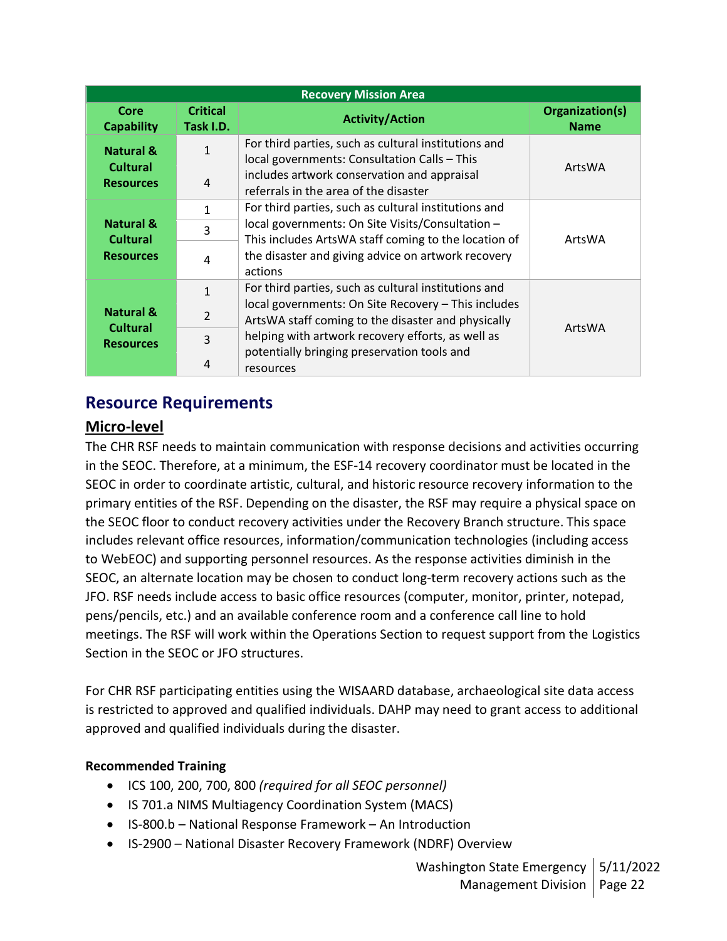| <b>Recovery Mission Area</b>                                |                              |                                                                                                           |                                |  |
|-------------------------------------------------------------|------------------------------|-----------------------------------------------------------------------------------------------------------|--------------------------------|--|
| Core<br><b>Capability</b>                                   | <b>Critical</b><br>Task I.D. | <b>Activity/Action</b>                                                                                    | Organization(s)<br><b>Name</b> |  |
| <b>Natural &amp;</b><br><b>Cultural</b>                     | $\mathbf{1}$                 | For third parties, such as cultural institutions and<br>local governments: Consultation Calls - This      | ArtsWA                         |  |
| <b>Resources</b>                                            | 4                            | includes artwork conservation and appraisal<br>referrals in the area of the disaster                      |                                |  |
| <b>Natural &amp;</b><br><b>Cultural</b><br><b>Resources</b> | 1                            | For third parties, such as cultural institutions and                                                      | ArtsWA                         |  |
|                                                             | 3                            | local governments: On Site Visits/Consultation -<br>This includes ArtsWA staff coming to the location of  |                                |  |
|                                                             | 4                            | the disaster and giving advice on artwork recovery<br>actions                                             |                                |  |
|                                                             | $\mathbf{1}$                 | For third parties, such as cultural institutions and                                                      |                                |  |
| <b>Natural &amp;</b><br><b>Cultural</b><br><b>Resources</b> | $\overline{2}$               | local governments: On Site Recovery - This includes<br>ArtsWA staff coming to the disaster and physically |                                |  |
|                                                             | 3                            | helping with artwork recovery efforts, as well as<br>potentially bringing preservation tools and          | ArtsWA                         |  |
|                                                             | 4                            | resources                                                                                                 |                                |  |

## **Resource Requirements**

## **Micro-level**

The CHR RSF needs to maintain communication with response decisions and activities occurring in the SEOC. Therefore, at a minimum, the ESF-14 recovery coordinator must be located in the SEOC in order to coordinate artistic, cultural, and historic resource recovery information to the primary entities of the RSF. Depending on the disaster, the RSF may require a physical space on the SEOC floor to conduct recovery activities under the Recovery Branch structure. This space includes relevant office resources, information/communication technologies (including access to WebEOC) and supporting personnel resources. As the response activities diminish in the SEOC, an alternate location may be chosen to conduct long-term recovery actions such as the JFO. RSF needs include access to basic office resources (computer, monitor, printer, notepad, pens/pencils, etc.) and an available conference room and a conference call line to hold meetings. The RSF will work within the Operations Section to request support from the Logistics Section in the SEOC or JFO structures.

For CHR RSF participating entities using the WISAARD database, archaeological site data access is restricted to approved and qualified individuals. DAHP may need to grant access to additional approved and qualified individuals during the disaster.

#### **Recommended Training**

- ICS 100, 200, 700, 800 *(required for all SEOC personnel)*
- IS 701.a NIMS Multiagency Coordination System (MACS)
- IS-800.b National Response Framework An Introduction
- IS-2900 National Disaster Recovery Framework (NDRF) Overview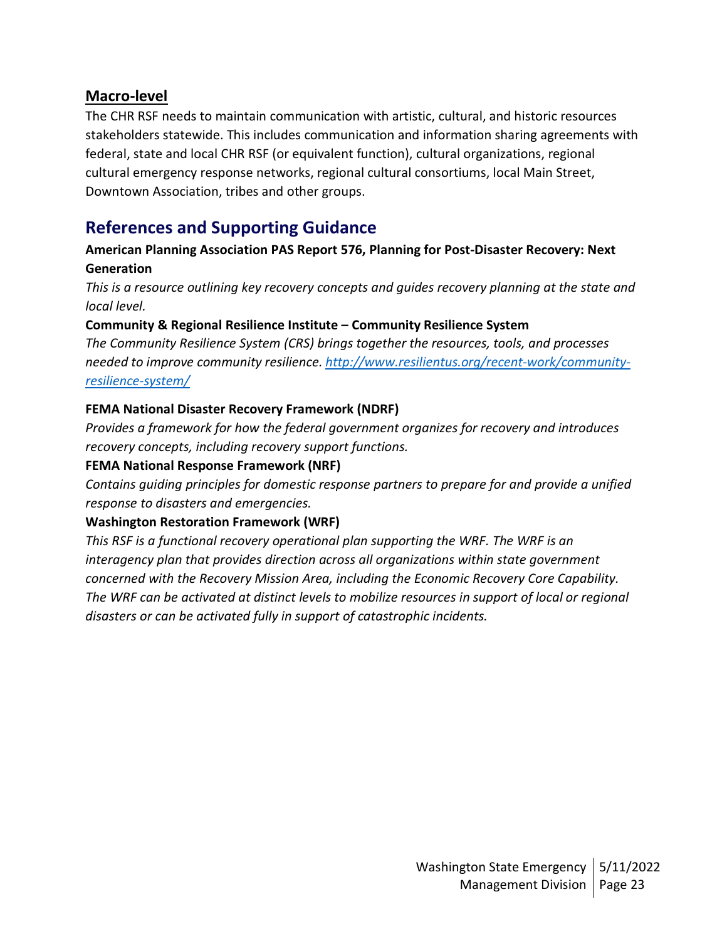#### **Macro-level**

The CHR RSF needs to maintain communication with artistic, cultural, and historic resources stakeholders statewide. This includes communication and information sharing agreements with federal, state and local CHR RSF (or equivalent function), cultural organizations, regional cultural emergency response networks, regional cultural consortiums, local Main Street, Downtown Association, tribes and other groups.

## **References and Supporting Guidance**

#### **American Planning Association PAS Report 576, Planning for Post-Disaster Recovery: Next Generation**

*This is a resource outlining key recovery concepts and guides recovery planning at the state and local level.*

#### **Community & Regional Resilience Institute – Community Resilience System**

*The Community Resilience System (CRS) brings together the resources, tools, and processes needed to improve community resilience. [http://www.resilientus.org/recent-work/community](http://www.resilientus.org/recent-work/community-resilience-system/)[resilience-system/](http://www.resilientus.org/recent-work/community-resilience-system/)* 

#### **FEMA National Disaster Recovery Framework (NDRF)**

*Provides a framework for how the federal government organizes for recovery and introduces recovery concepts, including recovery support functions.*

#### **FEMA National Response Framework (NRF)**

*Contains guiding principles for domestic response partners to prepare for and provide a unified response to disasters and emergencies.*

#### **Washington Restoration Framework (WRF)**

*This RSF is a functional recovery operational plan supporting the WRF. The WRF is an interagency plan that provides direction across all organizations within state government concerned with the Recovery Mission Area, including the Economic Recovery Core Capability. The WRF can be activated at distinct levels to mobilize resources in support of local or regional disasters or can be activated fully in support of catastrophic incidents.*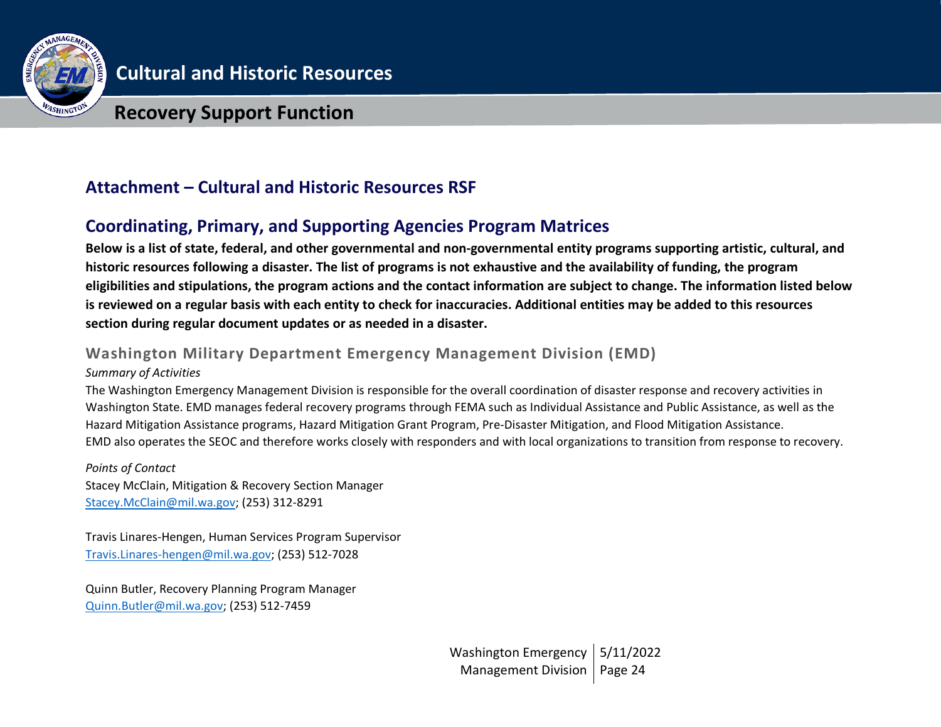

## **Recovery Support Function**

## **Attachment – Cultural and Historic Resources RSF**

## **Coordinating, Primary, and Supporting Agencies Program Matrices**

**Below is a list of state, federal, and other governmental and non-governmental entity programs supporting artistic, cultural, and historic resources following a disaster. The list of programs is not exhaustive and the availability of funding, the program eligibilities and stipulations, the program actions and the contact information are subject to change. The information listed below is reviewed on a regular basis with each entity to check for inaccuracies. Additional entities may be added to this resources section during regular document updates or as needed in a disaster.**

## **Washington Military Department Emergency Management Division (EMD)**

#### *Summary of Activities*

The Washington Emergency Management Division is responsible for the overall coordination of disaster response and recovery activities in Washington State. EMD manages federal recovery programs through FEMA such as Individual Assistance and Public Assistance, as well as the Hazard Mitigation Assistance programs, Hazard Mitigation Grant Program, Pre-Disaster Mitigation, and Flood Mitigation Assistance. EMD also operates the SEOC and therefore works closely with responders and with local organizations to transition from response to recovery.

*Points of Contact* Stacey McClain, Mitigation & Recovery Section Manager [Stacey.McClain@mil.wa.gov;](mailto:Stacey.McClain@mil.wa.gov) (253) 312-8291

Travis Linares-Hengen, Human Services Program Supervisor [Travis.Linares-hengen@mil.wa.gov;](mailto:Travis.Linares-hengen@mil.wa.gov) (253) 512-7028

Quinn Butler, Recovery Planning Program Manager [Quinn.Butler@mil.wa.gov;](mailto:Quinn.Butler@mil.wa.gov) (253) 512-7459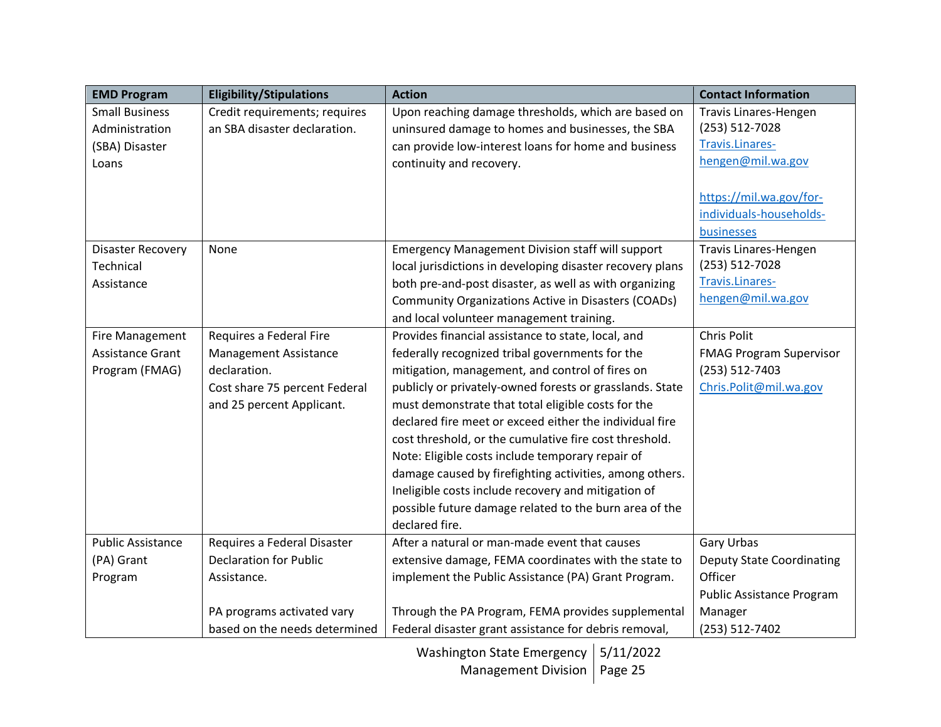| <b>EMD Program</b>       | <b>Eligibility/Stipulations</b> | <b>Action</b>                                             | <b>Contact Information</b>       |
|--------------------------|---------------------------------|-----------------------------------------------------------|----------------------------------|
| <b>Small Business</b>    | Credit requirements; requires   | Upon reaching damage thresholds, which are based on       | Travis Linares-Hengen            |
| Administration           | an SBA disaster declaration.    | uninsured damage to homes and businesses, the SBA         | (253) 512-7028                   |
| (SBA) Disaster           |                                 | can provide low-interest loans for home and business      | Travis.Linares-                  |
| Loans                    |                                 | continuity and recovery.                                  | hengen@mil.wa.gov                |
|                          |                                 |                                                           |                                  |
|                          |                                 |                                                           | https://mil.wa.gov/for-          |
|                          |                                 |                                                           | individuals-households-          |
|                          |                                 |                                                           | businesses                       |
| <b>Disaster Recovery</b> | None                            | <b>Emergency Management Division staff will support</b>   | Travis Linares-Hengen            |
| Technical                |                                 | local jurisdictions in developing disaster recovery plans | (253) 512-7028                   |
| Assistance               |                                 | both pre-and-post disaster, as well as with organizing    | Travis.Linares-                  |
|                          |                                 | Community Organizations Active in Disasters (COADs)       | hengen@mil.wa.gov                |
|                          |                                 | and local volunteer management training.                  |                                  |
| <b>Fire Management</b>   | Requires a Federal Fire         | Provides financial assistance to state, local, and        | Chris Polit                      |
| Assistance Grant         | <b>Management Assistance</b>    | federally recognized tribal governments for the           | <b>FMAG Program Supervisor</b>   |
| Program (FMAG)           | declaration.                    | mitigation, management, and control of fires on           | (253) 512-7403                   |
|                          | Cost share 75 percent Federal   | publicly or privately-owned forests or grasslands. State  | Chris.Polit@mil.wa.gov           |
|                          | and 25 percent Applicant.       | must demonstrate that total eligible costs for the        |                                  |
|                          |                                 | declared fire meet or exceed either the individual fire   |                                  |
|                          |                                 | cost threshold, or the cumulative fire cost threshold.    |                                  |
|                          |                                 | Note: Eligible costs include temporary repair of          |                                  |
|                          |                                 | damage caused by firefighting activities, among others.   |                                  |
|                          |                                 | Ineligible costs include recovery and mitigation of       |                                  |
|                          |                                 | possible future damage related to the burn area of the    |                                  |
|                          |                                 | declared fire.                                            |                                  |
| <b>Public Assistance</b> | Requires a Federal Disaster     | After a natural or man-made event that causes             | <b>Gary Urbas</b>                |
| (PA) Grant               | <b>Declaration for Public</b>   | extensive damage, FEMA coordinates with the state to      | <b>Deputy State Coordinating</b> |
| Program                  | Assistance.                     | implement the Public Assistance (PA) Grant Program.       | Officer                          |
|                          |                                 |                                                           | <b>Public Assistance Program</b> |
|                          | PA programs activated vary      | Through the PA Program, FEMA provides supplemental        | Manager                          |
|                          | based on the needs determined   | Federal disaster grant assistance for debris removal,     | (253) 512-7402                   |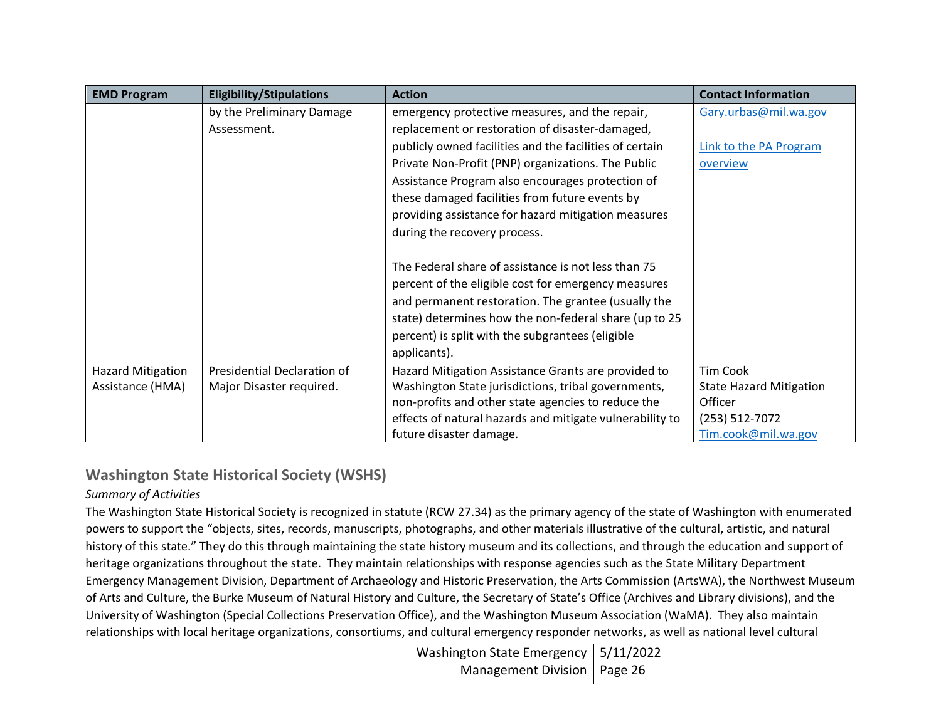| <b>EMD Program</b>       | <b>Eligibility/Stipulations</b> | <b>Action</b>                                            | <b>Contact Information</b>     |
|--------------------------|---------------------------------|----------------------------------------------------------|--------------------------------|
|                          | by the Preliminary Damage       | emergency protective measures, and the repair,           | Gary.urbas@mil.wa.gov          |
|                          | Assessment.                     | replacement or restoration of disaster-damaged,          |                                |
|                          |                                 | publicly owned facilities and the facilities of certain  | Link to the PA Program         |
|                          |                                 | Private Non-Profit (PNP) organizations. The Public       | overview                       |
|                          |                                 | Assistance Program also encourages protection of         |                                |
|                          |                                 | these damaged facilities from future events by           |                                |
|                          |                                 | providing assistance for hazard mitigation measures      |                                |
|                          |                                 | during the recovery process.                             |                                |
|                          |                                 |                                                          |                                |
|                          |                                 | The Federal share of assistance is not less than 75      |                                |
|                          |                                 | percent of the eligible cost for emergency measures      |                                |
|                          |                                 | and permanent restoration. The grantee (usually the      |                                |
|                          |                                 | state) determines how the non-federal share (up to 25    |                                |
|                          |                                 | percent) is split with the subgrantees (eligible         |                                |
|                          |                                 | applicants).                                             |                                |
| <b>Hazard Mitigation</b> | Presidential Declaration of     | Hazard Mitigation Assistance Grants are provided to      | <b>Tim Cook</b>                |
| Assistance (HMA)         | Major Disaster required.        | Washington State jurisdictions, tribal governments,      | <b>State Hazard Mitigation</b> |
|                          |                                 | non-profits and other state agencies to reduce the       | Officer                        |
|                          |                                 | effects of natural hazards and mitigate vulnerability to | (253) 512-7072                 |
|                          |                                 | future disaster damage.                                  | Tim.cook@mil.wa.gov            |

## **Washington State Historical Society (WSHS)**

### *Summary of Activities*

The Washington State Historical Society is recognized in statute (RCW 27.34) as the primary agency of the state of Washington with enumerated powers to support the "objects, sites, records, manuscripts, photographs, and other materials illustrative of the cultural, artistic, and natural history of this state." They do this through maintaining the state history museum and its collections, and through the education and support of heritage organizations throughout the state. They maintain relationships with response agencies such as the State Military Department Emergency Management Division, Department of Archaeology and Historic Preservation, the Arts Commission (ArtsWA), the Northwest Museum of Arts and Culture, the Burke Museum of Natural History and Culture, the Secretary of State's Office (Archives and Library divisions), and the University of Washington (Special Collections Preservation Office), and the Washington Museum Association (WaMA). They also maintain relationships with local heritage organizations, consortiums, and cultural emergency responder networks, as well as national level cultural

> Washington State Emergency | 5/11/2022 Management Division | Page 26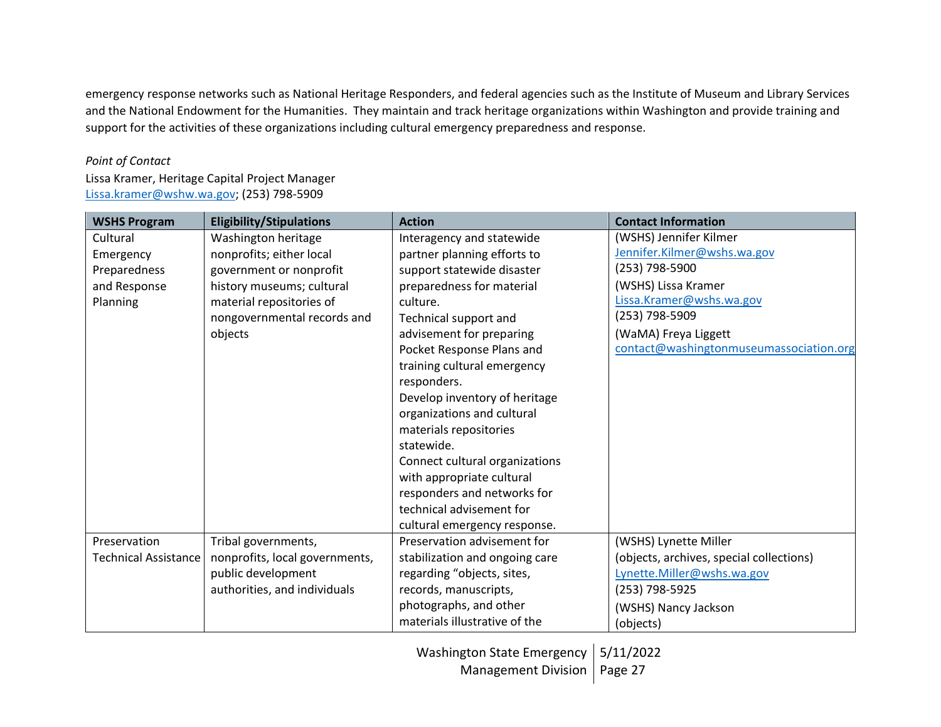emergency response networks such as National Heritage Responders, and federal agencies such as the Institute of Museum and Library Services and the National Endowment for the Humanities. They maintain and track heritage organizations within Washington and provide training and support for the activities of these organizations including cultural emergency preparedness and response.

#### *Point of Contact*

Lissa Kramer, Heritage Capital Project Manager [Lissa.kramer@wshw.wa.gov;](mailto:Lissa.kramer@wshw.wa.gov) (253) 798-5909

| <b>WSHS Program</b>         | <b>Eligibility/Stipulations</b> | <b>Action</b>                  | <b>Contact Information</b>               |
|-----------------------------|---------------------------------|--------------------------------|------------------------------------------|
| Cultural                    | Washington heritage             | Interagency and statewide      | (WSHS) Jennifer Kilmer                   |
| Emergency                   | nonprofits; either local        | partner planning efforts to    | Jennifer.Kilmer@wshs.wa.gov              |
| Preparedness                | government or nonprofit         | support statewide disaster     | (253) 798-5900                           |
| and Response                | history museums; cultural       | preparedness for material      | (WSHS) Lissa Kramer                      |
| Planning                    | material repositories of        | culture.                       | Lissa.Kramer@wshs.wa.gov                 |
|                             | nongovernmental records and     | Technical support and          | (253) 798-5909                           |
|                             | objects                         | advisement for preparing       | (WaMA) Freya Liggett                     |
|                             |                                 | Pocket Response Plans and      | contact@washingtonmuseumassociation.org  |
|                             |                                 | training cultural emergency    |                                          |
|                             |                                 | responders.                    |                                          |
|                             |                                 | Develop inventory of heritage  |                                          |
|                             |                                 | organizations and cultural     |                                          |
|                             |                                 | materials repositories         |                                          |
|                             |                                 | statewide.                     |                                          |
|                             |                                 | Connect cultural organizations |                                          |
|                             |                                 | with appropriate cultural      |                                          |
|                             |                                 | responders and networks for    |                                          |
|                             |                                 | technical advisement for       |                                          |
|                             |                                 | cultural emergency response.   |                                          |
| Preservation                | Tribal governments,             | Preservation advisement for    | (WSHS) Lynette Miller                    |
| <b>Technical Assistance</b> | nonprofits, local governments,  | stabilization and ongoing care | (objects, archives, special collections) |
|                             | public development              | regarding "objects, sites,     | Lynette.Miller@wshs.wa.gov               |
|                             | authorities, and individuals    | records, manuscripts,          | (253) 798-5925                           |
|                             |                                 | photographs, and other         | (WSHS) Nancy Jackson                     |
|                             |                                 | materials illustrative of the  | (objects)                                |

Washington State Emergency | 5/11/2022 Management Division | Page 27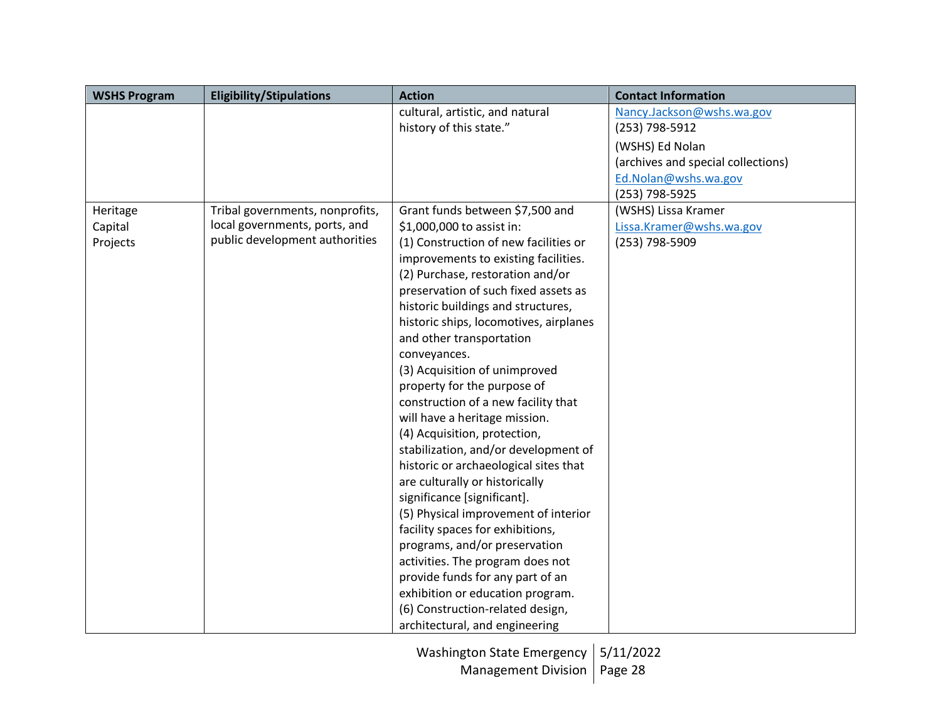| <b>WSHS Program</b> | <b>Eligibility/Stipulations</b> | <b>Action</b>                          | <b>Contact Information</b>         |
|---------------------|---------------------------------|----------------------------------------|------------------------------------|
|                     |                                 | cultural, artistic, and natural        | Nancy.Jackson@wshs.wa.gov          |
|                     |                                 | history of this state."                | (253) 798-5912                     |
|                     |                                 |                                        | (WSHS) Ed Nolan                    |
|                     |                                 |                                        | (archives and special collections) |
|                     |                                 |                                        | Ed.Nolan@wshs.wa.gov               |
|                     |                                 |                                        | (253) 798-5925                     |
| Heritage            | Tribal governments, nonprofits, | Grant funds between \$7,500 and        | (WSHS) Lissa Kramer                |
| Capital             | local governments, ports, and   | \$1,000,000 to assist in:              | Lissa.Kramer@wshs.wa.gov           |
| Projects            | public development authorities  | (1) Construction of new facilities or  | (253) 798-5909                     |
|                     |                                 | improvements to existing facilities.   |                                    |
|                     |                                 | (2) Purchase, restoration and/or       |                                    |
|                     |                                 | preservation of such fixed assets as   |                                    |
|                     |                                 | historic buildings and structures,     |                                    |
|                     |                                 | historic ships, locomotives, airplanes |                                    |
|                     |                                 | and other transportation               |                                    |
|                     |                                 | conveyances.                           |                                    |
|                     |                                 | (3) Acquisition of unimproved          |                                    |
|                     |                                 | property for the purpose of            |                                    |
|                     |                                 | construction of a new facility that    |                                    |
|                     |                                 | will have a heritage mission.          |                                    |
|                     |                                 | (4) Acquisition, protection,           |                                    |
|                     |                                 | stabilization, and/or development of   |                                    |
|                     |                                 | historic or archaeological sites that  |                                    |
|                     |                                 | are culturally or historically         |                                    |
|                     |                                 | significance [significant].            |                                    |
|                     |                                 | (5) Physical improvement of interior   |                                    |
|                     |                                 | facility spaces for exhibitions,       |                                    |
|                     |                                 | programs, and/or preservation          |                                    |
|                     |                                 | activities. The program does not       |                                    |
|                     |                                 | provide funds for any part of an       |                                    |
|                     |                                 | exhibition or education program.       |                                    |
|                     |                                 | (6) Construction-related design,       |                                    |
|                     |                                 | architectural, and engineering         |                                    |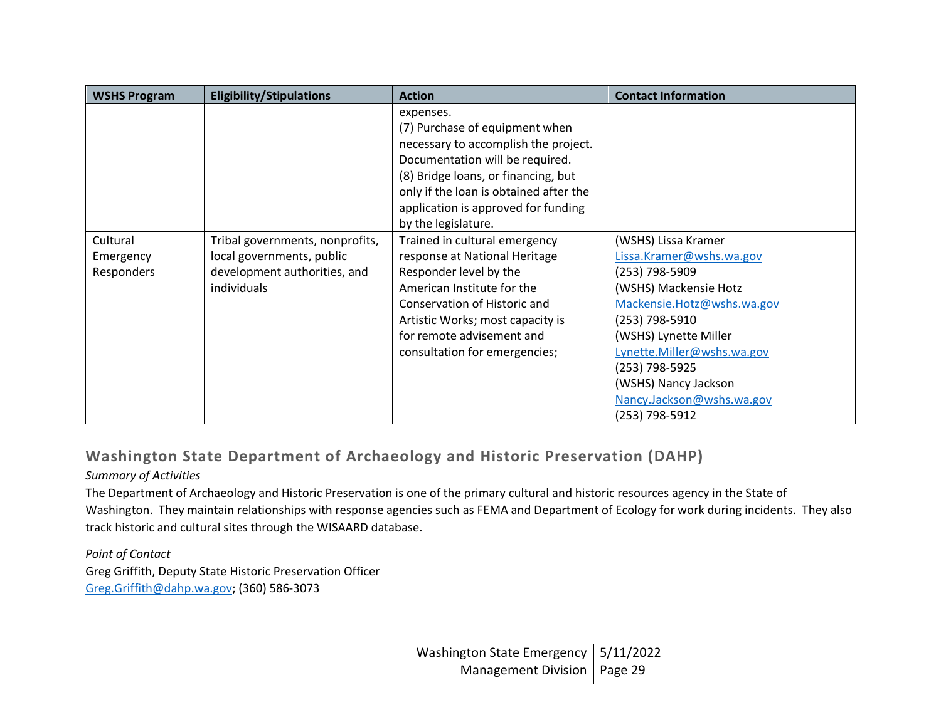| <b>WSHS Program</b>                 | <b>Eligibility/Stipulations</b>                                                                             | <b>Action</b>                                                                                                                                                                                                                                                         | <b>Contact Information</b>                                                                                                                                                                                                                                                                 |
|-------------------------------------|-------------------------------------------------------------------------------------------------------------|-----------------------------------------------------------------------------------------------------------------------------------------------------------------------------------------------------------------------------------------------------------------------|--------------------------------------------------------------------------------------------------------------------------------------------------------------------------------------------------------------------------------------------------------------------------------------------|
|                                     |                                                                                                             | expenses.<br>(7) Purchase of equipment when<br>necessary to accomplish the project.<br>Documentation will be required.<br>(8) Bridge loans, or financing, but<br>only if the loan is obtained after the<br>application is approved for funding<br>by the legislature. |                                                                                                                                                                                                                                                                                            |
| Cultural<br>Emergency<br>Responders | Tribal governments, nonprofits,<br>local governments, public<br>development authorities, and<br>individuals | Trained in cultural emergency<br>response at National Heritage<br>Responder level by the<br>American Institute for the<br>Conservation of Historic and<br>Artistic Works; most capacity is<br>for remote advisement and<br>consultation for emergencies;              | (WSHS) Lissa Kramer<br>Lissa.Kramer@wshs.wa.gov<br>(253) 798-5909<br>(WSHS) Mackensie Hotz<br>Mackensie.Hotz@wshs.wa.gov<br>(253) 798-5910<br>(WSHS) Lynette Miller<br>Lynette.Miller@wshs.wa.gov<br>(253) 798-5925<br>(WSHS) Nancy Jackson<br>Nancy.Jackson@wshs.wa.gov<br>(253) 798-5912 |

# **Washington State Department of Archaeology and Historic Preservation (DAHP)**

#### *Summary of Activities*

The Department of Archaeology and Historic Preservation is one of the primary cultural and historic resources agency in the State of Washington. They maintain relationships with response agencies such as FEMA and Department of Ecology for work during incidents. They also track historic and cultural sites through the WISAARD database.

*Point of Contact* Greg Griffith, Deputy State Historic Preservation Officer [Greg.Griffith@dahp.wa.gov;](mailto:Greg.Griffith@dahp.wa.gov) (360) 586-3073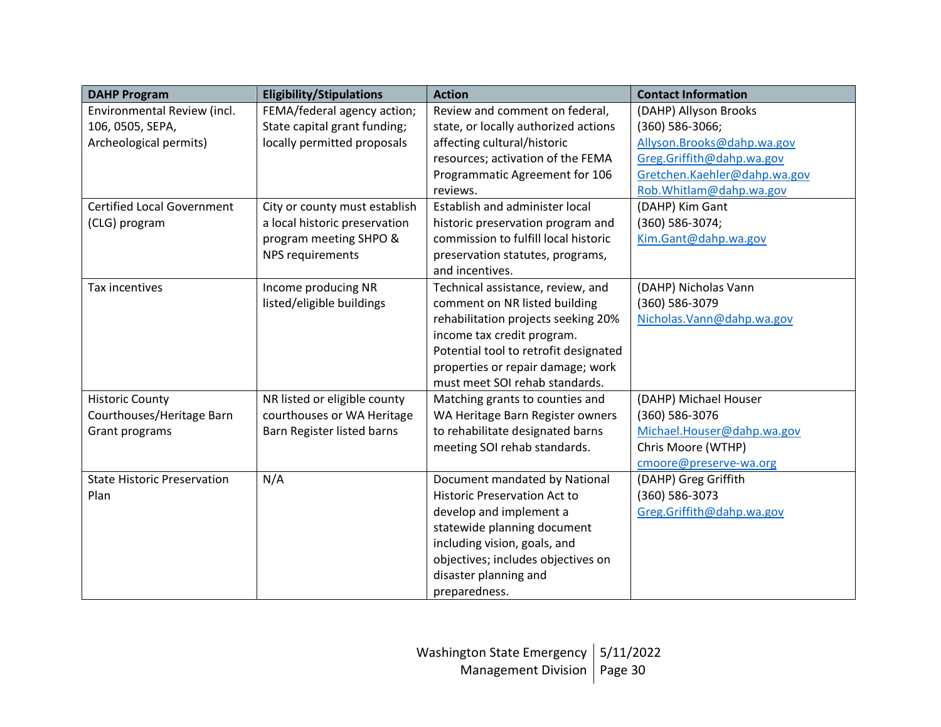| <b>DAHP Program</b>                | <b>Eligibility/Stipulations</b> | <b>Action</b>                         | <b>Contact Information</b>   |
|------------------------------------|---------------------------------|---------------------------------------|------------------------------|
| Environmental Review (incl.        | FEMA/federal agency action;     | Review and comment on federal,        | (DAHP) Allyson Brooks        |
| 106, 0505, SEPA,                   | State capital grant funding;    | state, or locally authorized actions  | (360) 586-3066;              |
| Archeological permits)             | locally permitted proposals     | affecting cultural/historic           | Allyson. Brooks@dahp.wa.gov  |
|                                    |                                 | resources; activation of the FEMA     | Greg.Griffith@dahp.wa.gov    |
|                                    |                                 | Programmatic Agreement for 106        | Gretchen.Kaehler@dahp.wa.gov |
|                                    |                                 | reviews.                              | Rob. Whitlam@dahp.wa.gov     |
| <b>Certified Local Government</b>  | City or county must establish   | Establish and administer local        | (DAHP) Kim Gant              |
| (CLG) program                      | a local historic preservation   | historic preservation program and     | (360) 586-3074;              |
|                                    | program meeting SHPO &          | commission to fulfill local historic  | Kim.Gant@dahp.wa.gov         |
|                                    | NPS requirements                | preservation statutes, programs,      |                              |
|                                    |                                 | and incentives.                       |                              |
| Tax incentives                     | Income producing NR             | Technical assistance, review, and     | (DAHP) Nicholas Vann         |
|                                    | listed/eligible buildings       | comment on NR listed building         | (360) 586-3079               |
|                                    |                                 | rehabilitation projects seeking 20%   | Nicholas. Vann@dahp.wa.gov   |
|                                    |                                 | income tax credit program.            |                              |
|                                    |                                 | Potential tool to retrofit designated |                              |
|                                    |                                 | properties or repair damage; work     |                              |
|                                    |                                 | must meet SOI rehab standards.        |                              |
| <b>Historic County</b>             | NR listed or eligible county    | Matching grants to counties and       | (DAHP) Michael Houser        |
| Courthouses/Heritage Barn          | courthouses or WA Heritage      | WA Heritage Barn Register owners      | (360) 586-3076               |
| Grant programs                     | Barn Register listed barns      | to rehabilitate designated barns      | Michael.Houser@dahp.wa.gov   |
|                                    |                                 | meeting SOI rehab standards.          | Chris Moore (WTHP)           |
|                                    |                                 |                                       | cmoore@preserve-wa.org       |
| <b>State Historic Preservation</b> | N/A                             | Document mandated by National         | (DAHP) Greg Griffith         |
| Plan                               |                                 | <b>Historic Preservation Act to</b>   | (360) 586-3073               |
|                                    |                                 | develop and implement a               | Greg.Griffith@dahp.wa.gov    |
|                                    |                                 | statewide planning document           |                              |
|                                    |                                 | including vision, goals, and          |                              |
|                                    |                                 | objectives; includes objectives on    |                              |
|                                    |                                 | disaster planning and                 |                              |
|                                    |                                 | preparedness.                         |                              |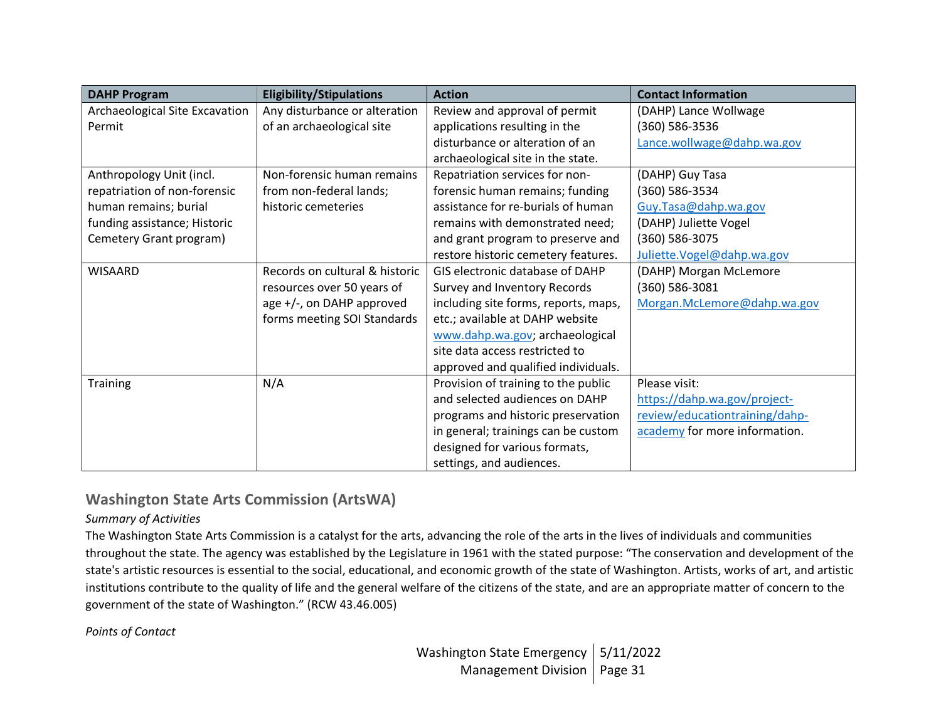| <b>DAHP Program</b>            | <b>Eligibility/Stipulations</b> | <b>Action</b>                        | <b>Contact Information</b>     |
|--------------------------------|---------------------------------|--------------------------------------|--------------------------------|
| Archaeological Site Excavation | Any disturbance or alteration   | Review and approval of permit        | (DAHP) Lance Wollwage          |
| Permit                         | of an archaeological site       | applications resulting in the        | (360) 586-3536                 |
|                                |                                 | disturbance or alteration of an      | Lance.wollwage@dahp.wa.gov     |
|                                |                                 | archaeological site in the state.    |                                |
| Anthropology Unit (incl.       | Non-forensic human remains      | Repatriation services for non-       | (DAHP) Guy Tasa                |
| repatriation of non-forensic   | from non-federal lands;         | forensic human remains; funding      | (360) 586-3534                 |
| human remains; burial          | historic cemeteries             | assistance for re-burials of human   | Guy.Tasa@dahp.wa.gov           |
| funding assistance; Historic   |                                 | remains with demonstrated need;      | (DAHP) Juliette Vogel          |
| Cemetery Grant program)        |                                 | and grant program to preserve and    | (360) 586-3075                 |
|                                |                                 | restore historic cemetery features.  | Juliette.Vogel@dahp.wa.gov     |
| <b>WISAARD</b>                 | Records on cultural & historic  | GIS electronic database of DAHP      | (DAHP) Morgan McLemore         |
|                                | resources over 50 years of      | Survey and Inventory Records         | (360) 586-3081                 |
|                                | age +/-, on DAHP approved       | including site forms, reports, maps, | Morgan.McLemore@dahp.wa.gov    |
|                                | forms meeting SOI Standards     | etc.; available at DAHP website      |                                |
|                                |                                 | www.dahp.wa.gov; archaeological      |                                |
|                                |                                 | site data access restricted to       |                                |
|                                |                                 | approved and qualified individuals.  |                                |
| <b>Training</b>                | N/A                             | Provision of training to the public  | Please visit:                  |
|                                |                                 | and selected audiences on DAHP       | https://dahp.wa.gov/project-   |
|                                |                                 | programs and historic preservation   | review/educationtraining/dahp- |
|                                |                                 | in general; trainings can be custom  | academy for more information.  |
|                                |                                 | designed for various formats,        |                                |
|                                |                                 | settings, and audiences.             |                                |

## **Washington State Arts Commission (ArtsWA)**

#### *Summary of Activities*

The Washington State Arts Commission is a catalyst for the arts, advancing the role of the arts in the lives of individuals and communities throughout the state. The agency was established by the Legislature in 1961 with the stated purpose: "The conservation and development of the state's artistic resources is essential to the social, educational, and economic growth of the state of Washington. Artists, works of art, and artistic institutions contribute to the quality of life and the general welfare of the citizens of the state, and are an appropriate matter of concern to the government of the state of Washington." (RCW 43.46.005)

*Points of Contact*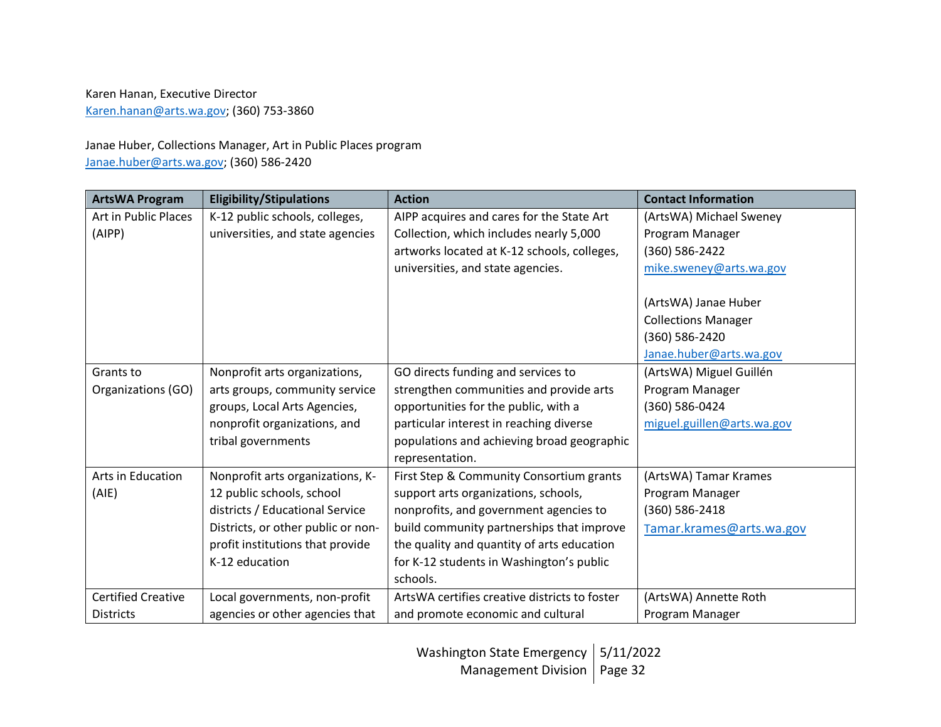#### Karen Hanan, Executive Director [Karen.hanan@arts.wa.gov;](mailto:Karen.hanan@arts.wa.gov) (360) 753-3860

#### Janae Huber, Collections Manager, Art in Public Places program [Janae.huber@arts.wa.gov;](mailto:Janae.huber@arts.wa.gov) (360) 586-2420

| <b>ArtsWA Program</b>     | <b>Eligibility/Stipulations</b>    | <b>Action</b>                                 | <b>Contact Information</b> |
|---------------------------|------------------------------------|-----------------------------------------------|----------------------------|
| Art in Public Places      | K-12 public schools, colleges,     | AIPP acquires and cares for the State Art     | (ArtsWA) Michael Sweney    |
| (AIPP)                    | universities, and state agencies   | Collection, which includes nearly 5,000       | Program Manager            |
|                           |                                    | artworks located at K-12 schools, colleges,   | (360) 586-2422             |
|                           |                                    | universities, and state agencies.             | mike.sweney@arts.wa.gov    |
|                           |                                    |                                               |                            |
|                           |                                    |                                               | (ArtsWA) Janae Huber       |
|                           |                                    |                                               | <b>Collections Manager</b> |
|                           |                                    |                                               | (360) 586-2420             |
|                           |                                    |                                               | Janae.huber@arts.wa.gov    |
| Grants to                 | Nonprofit arts organizations,      | GO directs funding and services to            | (ArtsWA) Miguel Guillén    |
| Organizations (GO)        | arts groups, community service     | strengthen communities and provide arts       | Program Manager            |
|                           | groups, Local Arts Agencies,       | opportunities for the public, with a          | (360) 586-0424             |
|                           | nonprofit organizations, and       | particular interest in reaching diverse       | miguel.guillen@arts.wa.gov |
|                           | tribal governments                 | populations and achieving broad geographic    |                            |
|                           |                                    | representation.                               |                            |
| Arts in Education         | Nonprofit arts organizations, K-   | First Step & Community Consortium grants      | (ArtsWA) Tamar Krames      |
| (AIE)                     | 12 public schools, school          | support arts organizations, schools,          | Program Manager            |
|                           | districts / Educational Service    | nonprofits, and government agencies to        | (360) 586-2418             |
|                           | Districts, or other public or non- | build community partnerships that improve     | Tamar.krames@arts.wa.gov   |
|                           | profit institutions that provide   | the quality and quantity of arts education    |                            |
|                           | K-12 education                     | for K-12 students in Washington's public      |                            |
|                           |                                    | schools.                                      |                            |
| <b>Certified Creative</b> | Local governments, non-profit      | ArtsWA certifies creative districts to foster | (ArtsWA) Annette Roth      |
| <b>Districts</b>          | agencies or other agencies that    | and promote economic and cultural             | Program Manager            |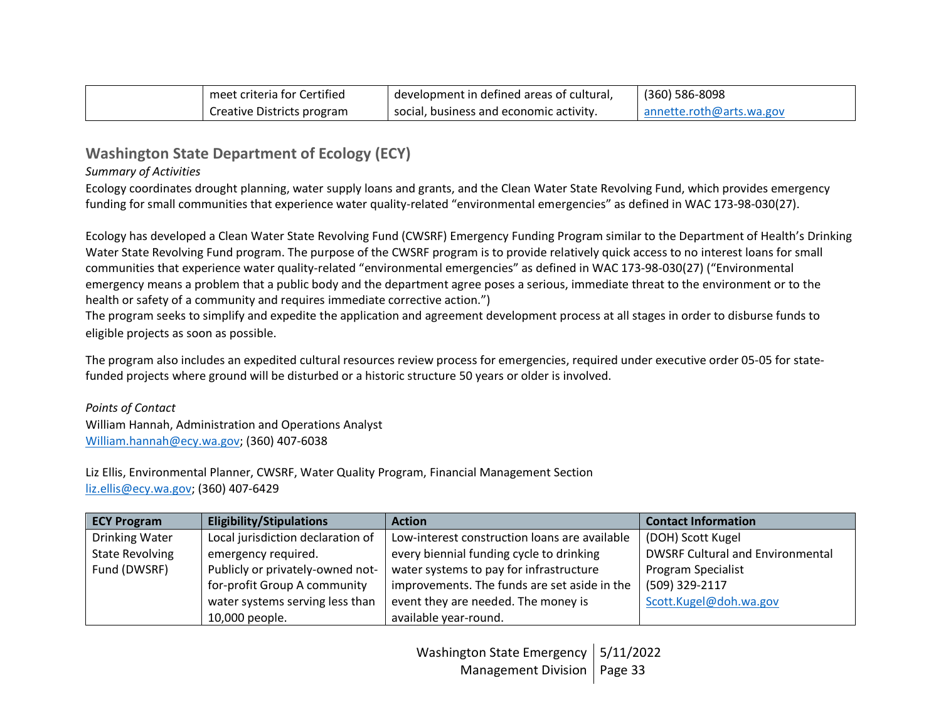| meet criteria for Certified | development in defined areas of cultural, | (360) 586-8098           |
|-----------------------------|-------------------------------------------|--------------------------|
| Creative Districts program  | social, business and economic activity.   | annette.roth@arts.wa.gov |

## **Washington State Department of Ecology (ECY)**

#### *Summary of Activities*

Ecology coordinates drought planning, water supply loans and grants, and the Clean Water State Revolving Fund, which provides emergency funding for small communities that experience water quality-related "environmental emergencies" as defined in WAC 173-98-030(27).

Ecology has developed a Clean Water State Revolving Fund (CWSRF) Emergency Funding Program similar to the Department of Health's Drinking Water State Revolving Fund program. The purpose of the CWSRF program is to provide relatively quick access to no interest loans for small communities that experience water quality-related "environmental emergencies" as defined in WAC 173-98-030(27) ("Environmental emergency means a problem that a public body and the department agree poses a serious, immediate threat to the environment or to the health or safety of a community and requires immediate corrective action.")

The program seeks to simplify and expedite the application and agreement development process at all stages in order to disburse funds to eligible projects as soon as possible.

The program also includes an expedited cultural resources review process for emergencies, required under executive order 05-05 for statefunded projects where ground will be disturbed or a historic structure 50 years or older is involved.

*Points of Contact* William Hannah, Administration and Operations Analyst [William.hannah@ecy.wa.gov;](mailto:William.hannah@ecy.wa.gov) (360) 407-6038

Liz Ellis, Environmental Planner, CWSRF, Water Quality Program, Financial Management Section [liz.ellis@ecy.wa.gov;](mailto:liz.ellis@ecy.wa.gov) (360) 407-6429

| <b>ECY Program</b>     | <b>Eligibility/Stipulations</b>   | <b>Action</b>                                 | <b>Contact Information</b>              |
|------------------------|-----------------------------------|-----------------------------------------------|-----------------------------------------|
| Drinking Water         | Local jurisdiction declaration of | Low-interest construction loans are available | (DOH) Scott Kugel                       |
| <b>State Revolving</b> | emergency required.               | every biennial funding cycle to drinking      | <b>DWSRF Cultural and Environmental</b> |
| Fund (DWSRF)           | Publicly or privately-owned not-  | water systems to pay for infrastructure       | <b>Program Specialist</b>               |
|                        | for-profit Group A community      | improvements. The funds are set aside in the  | (509) 329-2117                          |
|                        | water systems serving less than   | event they are needed. The money is           | Scott.Kugel@doh.wa.gov                  |
|                        | 10,000 people.                    | available year-round.                         |                                         |